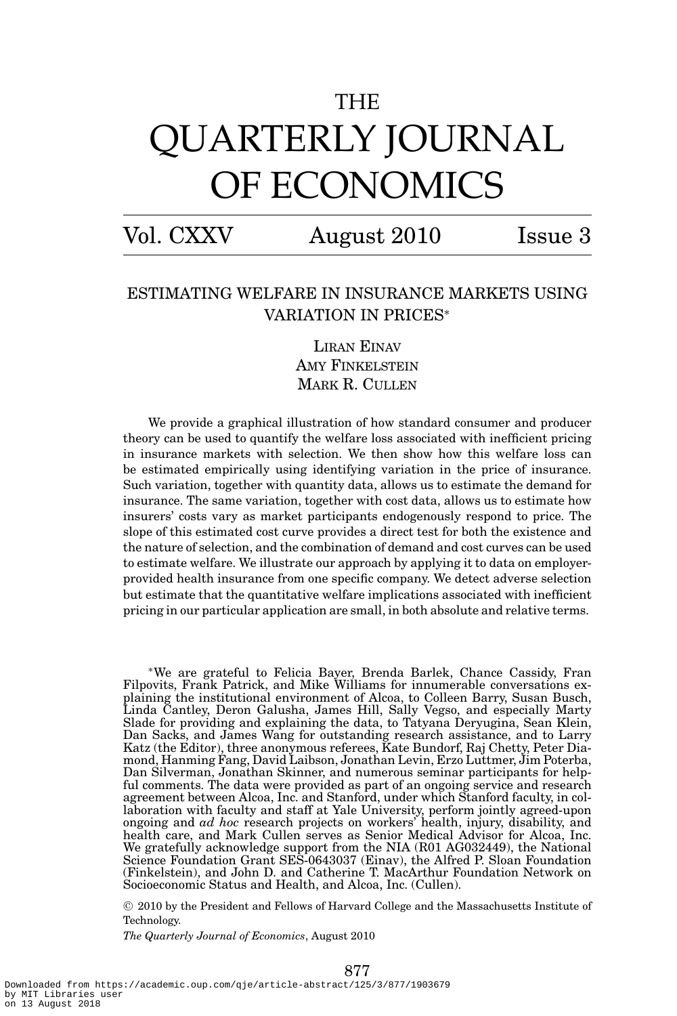# THE QUARTERLY JOURNAL OF ECONOMICS

Vol. CXXV August 2010 Issue 3

# ESTIMATING WELFARE IN INSURANCE MARKETS USING VARIATION IN PRICES<sup>∗</sup>

LIRAN EINAV AMY FINKELSTEIN MARK R. CHLLEN

We provide a graphical illustration of how standard consumer and producer theory can be used to quantify the welfare loss associated with inefficient pricing in insurance markets with selection. We then show how this welfare loss can be estimated empirically using identifying variation in the price of insurance. Such variation, together with quantity data, allows us to estimate the demand for insurance. The same variation, together with cost data, allows us to estimate how insurers' costs vary as market participants endogenously respond to price. The slope of this estimated cost curve provides a direct test for both the existence and the nature of selection, and the combination of demand and cost curves can be used to estimate welfare. We illustrate our approach by applying it to data on employerprovided health insurance from one specific company. We detect adverse selection but estimate that the quantitative welfare implications associated with inefficient pricing in our particular application are small, in both absolute and relative terms.

<sup>∗</sup>We are grateful to Felicia Bayer, Brenda Barlek, Chance Cassidy, Fran Filpovits, Frank Patrick, and Mike Williams for innumerable conversations explaining the institutional environment of Alcoa, to Colleen Barry, Susan Busch,<br>Linda Cantley, Deron Galusha, James Hill, Sally Vegso, and especially Marty<br>Slade for providing and explaining the data, to Tatyana Deryugina, Dan Sacks, and James Wang for outstanding research assistance, and to Larry Katz (the Editor), three anonymous referees, Kate Bundorf, Raj Chetty, Peter Diamond, Hanming Fang, David Laibson, Jonathan Levin, Erzo Luttmer, Jim Poterba, Dan Silverman, Jonathan Skinner, and numerous seminar participants for helpful comments. The data were provided as part of an ongoing service and research agreement between Alcoa, Inc. and Stanford, under which Stanford faculty, in collaboration with faculty and staff at Yale University, perform jointly agreed-upon ongoing and *ad hoc* research projects on workers' health, injury, disability, and health care, and Mark Cullen serves as Senior Medical Advisor for Alcoa, Inc. We gratefully acknowledge support from the NIA (R01 AG032449), the National Science Foundation Grant SES-0643037 (Einav), the Alfred P. Sloan Foundation (Finkelstein), and John D. and Catherine T. MacArthur Foundation Network on Socioeconomic Status and Health, and Alcoa, Inc. (Cullen).

<sup>C</sup> 2010 by the President and Fellows of Harvard College and the Massachusetts Institute of Technology.

*The Quarterly Journal of Economics*, August 2010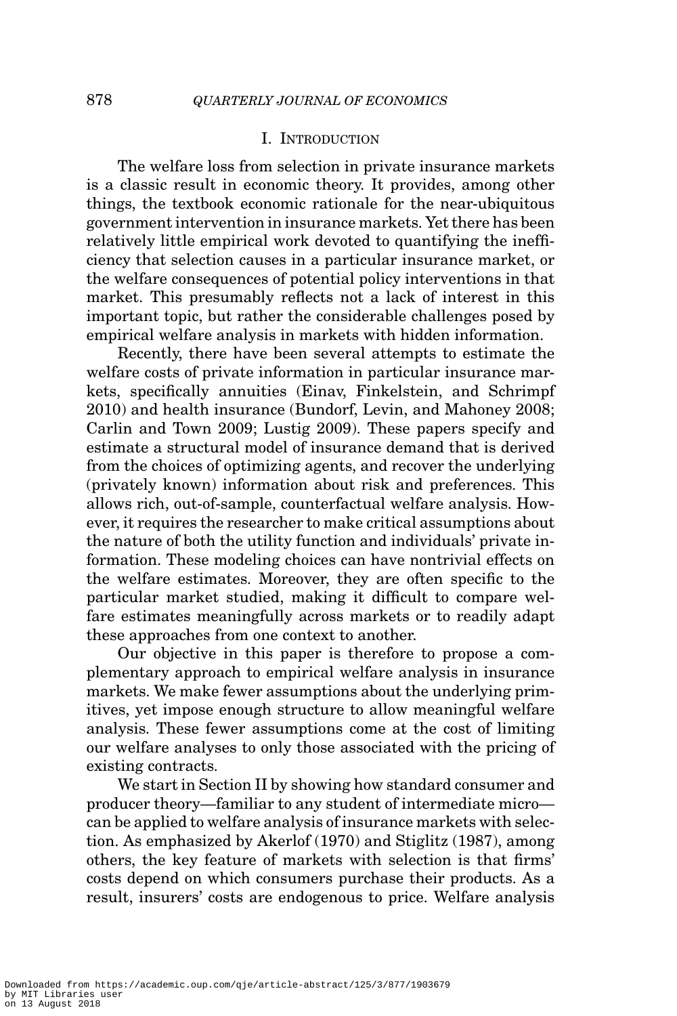#### I. INTRODUCTION

The welfare loss from selection in private insurance markets is a classic result in economic theory. It provides, among other things, the textbook economic rationale for the near-ubiquitous government intervention in insurance markets. Yet there has been relatively little empirical work devoted to quantifying the inefficiency that selection causes in a particular insurance market, or the welfare consequences of potential policy interventions in that market. This presumably reflects not a lack of interest in this important topic, but rather the considerable challenges posed by empirical welfare analysis in markets with hidden information.

Recently, there have been several attempts to estimate the welfare costs of private information in particular insurance markets, specifically annuities (Einav, Finkelstein, and Schrimpf 2010) and health insurance (Bundorf, Levin, and Mahoney 2008; Carlin and Town 2009; Lustig 2009). These papers specify and estimate a structural model of insurance demand that is derived from the choices of optimizing agents, and recover the underlying (privately known) information about risk and preferences. This allows rich, out-of-sample, counterfactual welfare analysis. However, it requires the researcher to make critical assumptions about the nature of both the utility function and individuals' private information. These modeling choices can have nontrivial effects on the welfare estimates. Moreover, they are often specific to the particular market studied, making it difficult to compare welfare estimates meaningfully across markets or to readily adapt these approaches from one context to another.

Our objective in this paper is therefore to propose a complementary approach to empirical welfare analysis in insurance markets. We make fewer assumptions about the underlying primitives, yet impose enough structure to allow meaningful welfare analysis. These fewer assumptions come at the cost of limiting our welfare analyses to only those associated with the pricing of existing contracts.

We start in Section II by showing how standard consumer and producer theory—familiar to any student of intermediate micro can be applied to welfare analysis of insurance markets with selection. As emphasized by Akerlof (1970) and Stiglitz (1987), among others, the key feature of markets with selection is that firms' costs depend on which consumers purchase their products. As a result, insurers' costs are endogenous to price. Welfare analysis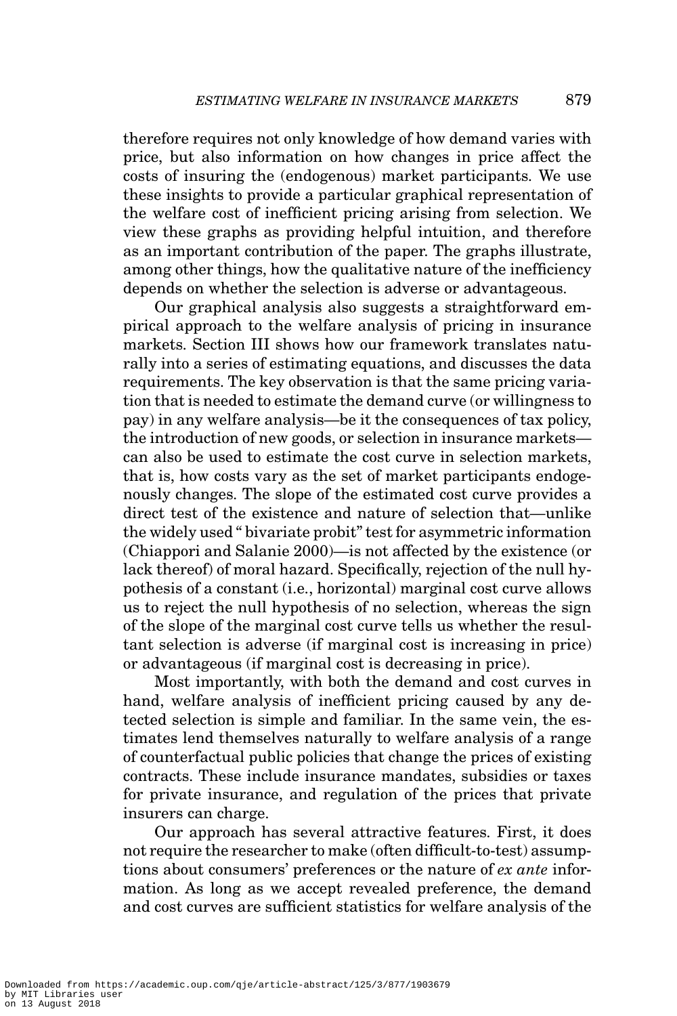therefore requires not only knowledge of how demand varies with price, but also information on how changes in price affect the costs of insuring the (endogenous) market participants. We use these insights to provide a particular graphical representation of the welfare cost of inefficient pricing arising from selection. We view these graphs as providing helpful intuition, and therefore as an important contribution of the paper. The graphs illustrate, among other things, how the qualitative nature of the inefficiency depends on whether the selection is adverse or advantageous.

Our graphical analysis also suggests a straightforward empirical approach to the welfare analysis of pricing in insurance markets. Section III shows how our framework translates naturally into a series of estimating equations, and discusses the data requirements. The key observation is that the same pricing variation that is needed to estimate the demand curve (or willingness to pay) in any welfare analysis—be it the consequences of tax policy, the introduction of new goods, or selection in insurance markets can also be used to estimate the cost curve in selection markets, that is, how costs vary as the set of market participants endogenously changes. The slope of the estimated cost curve provides a direct test of the existence and nature of selection that—unlike the widely used " bivariate probit" test for asymmetric information (Chiappori and Salanie 2000)—is not affected by the existence (or lack thereof) of moral hazard. Specifically, rejection of the null hypothesis of a constant (i.e., horizontal) marginal cost curve allows us to reject the null hypothesis of no selection, whereas the sign of the slope of the marginal cost curve tells us whether the resultant selection is adverse (if marginal cost is increasing in price) or advantageous (if marginal cost is decreasing in price).

Most importantly, with both the demand and cost curves in hand, welfare analysis of inefficient pricing caused by any detected selection is simple and familiar. In the same vein, the estimates lend themselves naturally to welfare analysis of a range of counterfactual public policies that change the prices of existing contracts. These include insurance mandates, subsidies or taxes for private insurance, and regulation of the prices that private insurers can charge.

Our approach has several attractive features. First, it does not require the researcher to make (often difficult-to-test) assumptions about consumers' preferences or the nature of *ex ante* information. As long as we accept revealed preference, the demand and cost curves are sufficient statistics for welfare analysis of the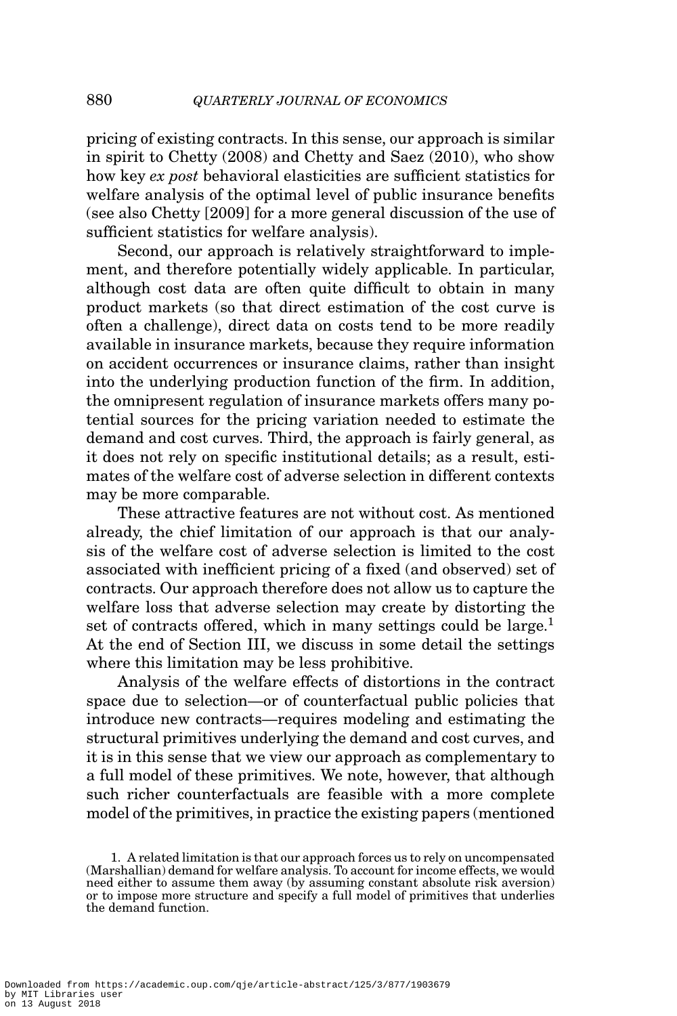pricing of existing contracts. In this sense, our approach is similar in spirit to Chetty (2008) and Chetty and Saez (2010), who show how key *ex post* behavioral elasticities are sufficient statistics for welfare analysis of the optimal level of public insurance benefits (see also Chetty [2009] for a more general discussion of the use of sufficient statistics for welfare analysis).

Second, our approach is relatively straightforward to implement, and therefore potentially widely applicable. In particular, although cost data are often quite difficult to obtain in many product markets (so that direct estimation of the cost curve is often a challenge), direct data on costs tend to be more readily available in insurance markets, because they require information on accident occurrences or insurance claims, rather than insight into the underlying production function of the firm. In addition, the omnipresent regulation of insurance markets offers many potential sources for the pricing variation needed to estimate the demand and cost curves. Third, the approach is fairly general, as it does not rely on specific institutional details; as a result, estimates of the welfare cost of adverse selection in different contexts may be more comparable.

These attractive features are not without cost. As mentioned already, the chief limitation of our approach is that our analysis of the welfare cost of adverse selection is limited to the cost associated with inefficient pricing of a fixed (and observed) set of contracts. Our approach therefore does not allow us to capture the welfare loss that adverse selection may create by distorting the set of contracts offered, which in many settings could be large.<sup>1</sup> At the end of Section III, we discuss in some detail the settings where this limitation may be less prohibitive.

Analysis of the welfare effects of distortions in the contract space due to selection—or of counterfactual public policies that introduce new contracts—requires modeling and estimating the structural primitives underlying the demand and cost curves, and it is in this sense that we view our approach as complementary to a full model of these primitives. We note, however, that although such richer counterfactuals are feasible with a more complete model of the primitives, in practice the existing papers (mentioned

<sup>1.</sup> A related limitation is that our approach forces us to rely on uncompensated (Marshallian) demand for welfare analysis. To account for income effects, we would need either to assume them away (by assuming constant absolute risk aversion) or to impose more structure and specify a full model of primitives that underlies the demand function.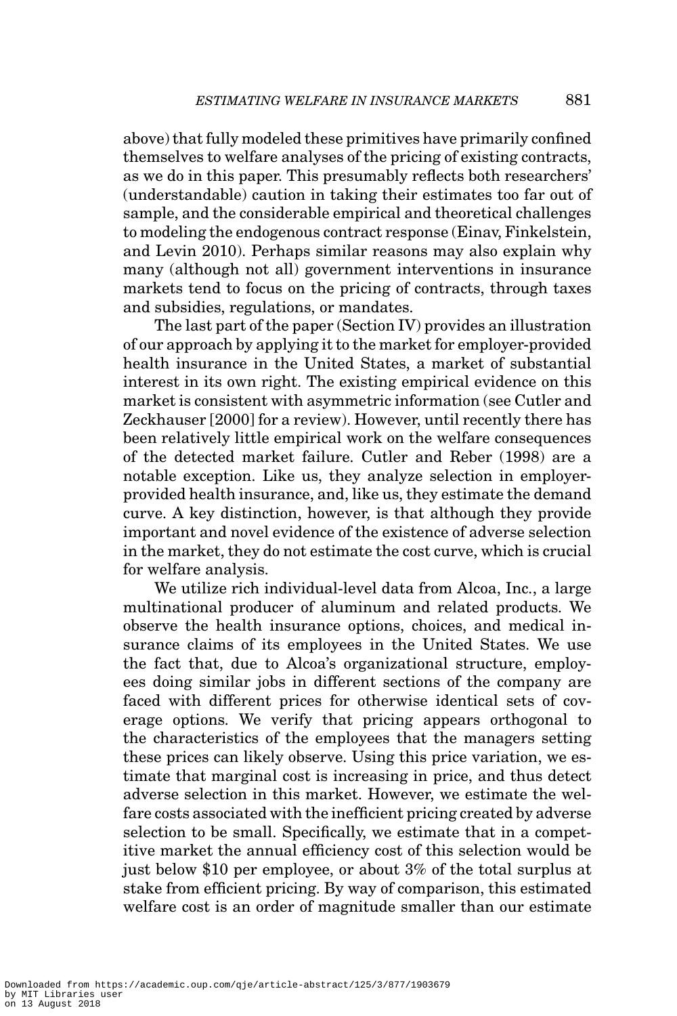above) that fully modeled these primitives have primarily confined themselves to welfare analyses of the pricing of existing contracts, as we do in this paper. This presumably reflects both researchers' (understandable) caution in taking their estimates too far out of sample, and the considerable empirical and theoretical challenges to modeling the endogenous contract response (Einav, Finkelstein, and Levin 2010). Perhaps similar reasons may also explain why many (although not all) government interventions in insurance markets tend to focus on the pricing of contracts, through taxes and subsidies, regulations, or mandates.

The last part of the paper (Section IV) provides an illustration of our approach by applying it to the market for employer-provided health insurance in the United States, a market of substantial interest in its own right. The existing empirical evidence on this market is consistent with asymmetric information (see Cutler and Zeckhauser [2000] for a review). However, until recently there has been relatively little empirical work on the welfare consequences of the detected market failure. Cutler and Reber (1998) are a notable exception. Like us, they analyze selection in employerprovided health insurance, and, like us, they estimate the demand curve. A key distinction, however, is that although they provide important and novel evidence of the existence of adverse selection in the market, they do not estimate the cost curve, which is crucial for welfare analysis.

We utilize rich individual-level data from Alcoa, Inc., a large multinational producer of aluminum and related products. We observe the health insurance options, choices, and medical insurance claims of its employees in the United States. We use the fact that, due to Alcoa's organizational structure, employees doing similar jobs in different sections of the company are faced with different prices for otherwise identical sets of coverage options. We verify that pricing appears orthogonal to the characteristics of the employees that the managers setting these prices can likely observe. Using this price variation, we estimate that marginal cost is increasing in price, and thus detect adverse selection in this market. However, we estimate the welfare costs associated with the inefficient pricing created by adverse selection to be small. Specifically, we estimate that in a competitive market the annual efficiency cost of this selection would be just below \$10 per employee, or about 3% of the total surplus at stake from efficient pricing. By way of comparison, this estimated welfare cost is an order of magnitude smaller than our estimate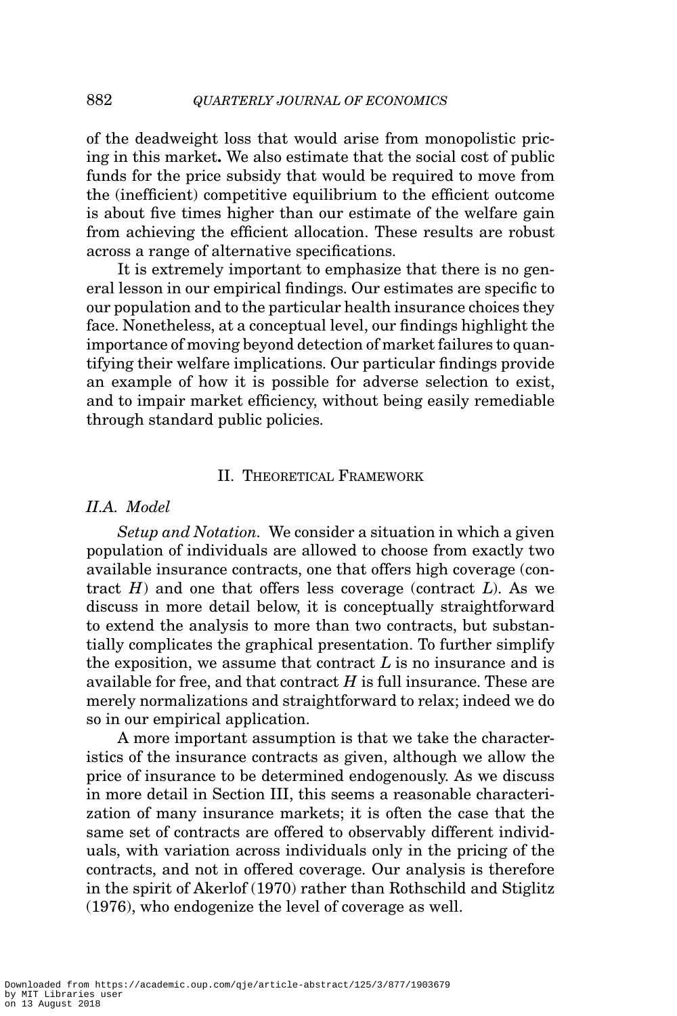of the deadweight loss that would arise from monopolistic pricing in this market**.** We also estimate that the social cost of public funds for the price subsidy that would be required to move from the (inefficient) competitive equilibrium to the efficient outcome is about five times higher than our estimate of the welfare gain from achieving the efficient allocation. These results are robust across a range of alternative specifications.

It is extremely important to emphasize that there is no general lesson in our empirical findings. Our estimates are specific to our population and to the particular health insurance choices they face. Nonetheless, at a conceptual level, our findings highlight the importance of moving beyond detection of market failures to quantifying their welfare implications. Our particular findings provide an example of how it is possible for adverse selection to exist, and to impair market efficiency, without being easily remediable through standard public policies.

## II. THEORETICAL FRAMEWORK

#### *II.A. Model*

*Setup and Notation.* We consider a situation in which a given population of individuals are allowed to choose from exactly two available insurance contracts, one that offers high coverage (contract *H*) and one that offers less coverage (contract *L*). As we discuss in more detail below, it is conceptually straightforward to extend the analysis to more than two contracts, but substantially complicates the graphical presentation. To further simplify the exposition, we assume that contract *L* is no insurance and is available for free, and that contract *H* is full insurance. These are merely normalizations and straightforward to relax; indeed we do so in our empirical application.

A more important assumption is that we take the characteristics of the insurance contracts as given, although we allow the price of insurance to be determined endogenously. As we discuss in more detail in Section III, this seems a reasonable characterization of many insurance markets; it is often the case that the same set of contracts are offered to observably different individuals, with variation across individuals only in the pricing of the contracts, and not in offered coverage. Our analysis is therefore in the spirit of Akerlof (1970) rather than Rothschild and Stiglitz (1976), who endogenize the level of coverage as well.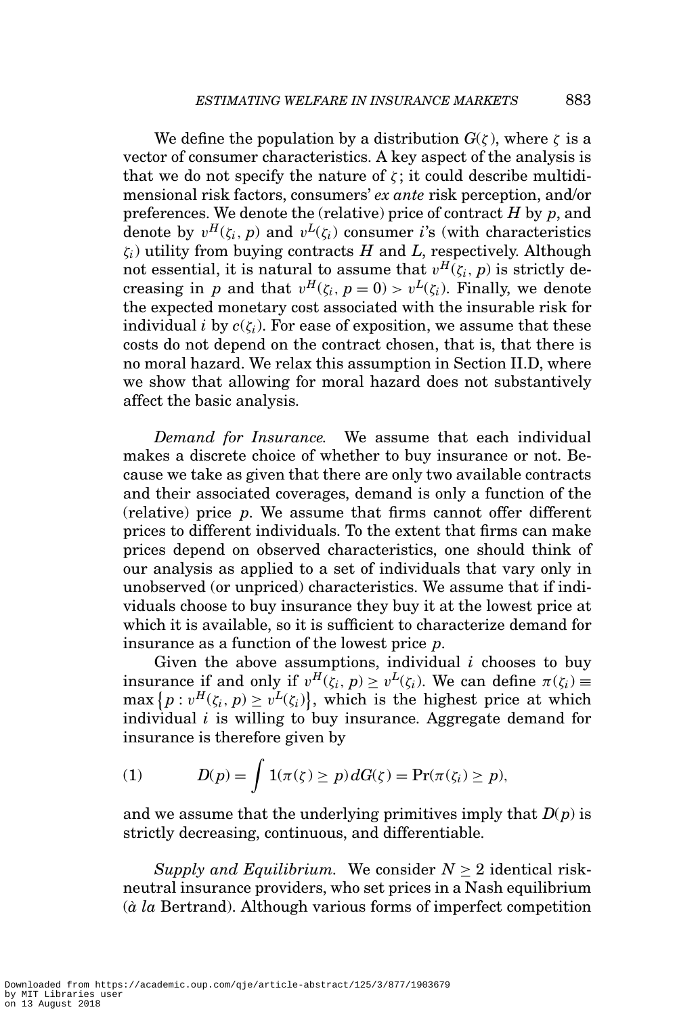We define the population by a distribution  $G(\zeta)$ , where  $\zeta$  is a vector of consumer characteristics. A key aspect of the analysis is that we do not specify the nature of  $\zeta$ ; it could describe multidimensional risk factors, consumers' *ex ante* risk perception, and/or preferences. We denote the (relative) price of contract *H* by *p*, and denote by  $v^H(\zeta_i, p)$  and  $v^L(\zeta_i)$  consumer *i*'s (with characteristics  $\zeta_i$ ) utility from buying contracts *H* and *L*, respectively. Although not essential, it is natural to assume that  $v^H(\zeta_i, p)$  is strictly decreasing in *p* and that  $v^H(\zeta_i, p = 0) > v^L(\zeta_i)$ . Finally, we denote the expected monetary cost associated with the insurable risk for individual *i* by  $c(\zeta_i)$ . For ease of exposition, we assume that these costs do not depend on the contract chosen, that is, that there is no moral hazard. We relax this assumption in Section II.D, where we show that allowing for moral hazard does not substantively affect the basic analysis.

*Demand for Insurance.* We assume that each individual makes a discrete choice of whether to buy insurance or not. Because we take as given that there are only two available contracts and their associated coverages, demand is only a function of the (relative) price *p*. We assume that firms cannot offer different prices to different individuals. To the extent that firms can make prices depend on observed characteristics, one should think of our analysis as applied to a set of individuals that vary only in unobserved (or unpriced) characteristics. We assume that if individuals choose to buy insurance they buy it at the lowest price at which it is available, so it is sufficient to characterize demand for insurance as a function of the lowest price *p*.

Given the above assumptions, individual *i* chooses to buy insurance if and only if  $v^H(\zeta_i, p) \geq v^L(\zeta_i)$ . We can define  $\pi(\zeta_i) \equiv$  $\max\{p : v^H(\zeta_i, p) \ge v^L(\zeta_i)\}\$ , which is the highest price at which individual  $i$  is willing to buy insurance. Aggregate demand for insurance is therefore given by

(1) 
$$
D(p) = \int 1(\pi(\zeta) \ge p) dG(\zeta) = \Pr(\pi(\zeta_i) \ge p),
$$

and we assume that the underlying primitives imply that  $D(p)$  is strictly decreasing, continuous, and differentiable.

*Supply and Equilibrium.* We consider *N* ≥ 2 identical riskneutral insurance providers, who set prices in a Nash equilibrium ( $\dot{a}$  *la* Bertrand). Although various forms of imperfect competition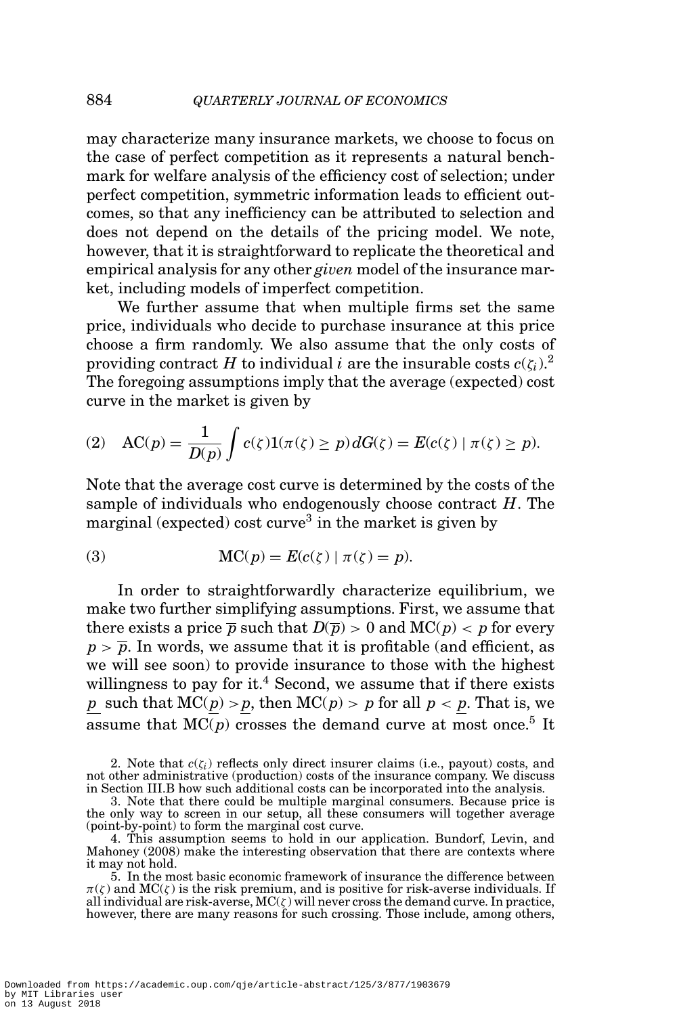may characterize many insurance markets, we choose to focus on the case of perfect competition as it represents a natural benchmark for welfare analysis of the efficiency cost of selection; under perfect competition, symmetric information leads to efficient outcomes, so that any inefficiency can be attributed to selection and does not depend on the details of the pricing model. We note, however, that it is straightforward to replicate the theoretical and empirical analysis for any other *given* model of the insurance market, including models of imperfect competition.

We further assume that when multiple firms set the same price, individuals who decide to purchase insurance at this price choose a firm randomly. We also assume that the only costs of providing contract *H* to individual *i* are the insurable costs  $c(\zeta_i)^2$ . The foregoing assumptions imply that the average (expected) cost curve in the market is given by

(2) 
$$
\text{AC}(p) = \frac{1}{D(p)} \int c(\zeta) \mathbb{1}(\pi(\zeta) \ge p) dG(\zeta) = E(c(\zeta) \mid \pi(\zeta) \ge p).
$$

Note that the average cost curve is determined by the costs of the sample of individuals who endogenously choose contract *H*. The marginal (expected) cost curve<sup>3</sup> in the market is given by

(3) 
$$
\text{MC}(p) = E(c(\zeta) | \pi(\zeta) = p).
$$

In order to straightforwardly characterize equilibrium, we make two further simplifying assumptions. First, we assume that there exists a price  $\bar{p}$  such that  $D(\bar{p}) > 0$  and  $MC(p) < p$  for every  $p > \bar{p}$ . In words, we assume that it is profitable (and efficient, as we will see soon) to provide insurance to those with the highest willingness to pay for it.<sup>4</sup> Second, we assume that if there exists *p* such that  $MC(p) > p$ , then  $MC(p) > p$  for all  $p < p$ . That is, we assume that  $MC(p)$  crosses the demand curve at most once.<sup>5</sup> It

<sup>2.</sup> Note that  $c(\zeta_i)$  reflects only direct insurer claims (i.e., payout) costs, and not other administrative (production) costs of the insurance company. We discuss in Section III.B how such additional costs can be incorporated into the analysis.

<sup>3.</sup> Note that there could be multiple marginal consumers. Because price is the only way to screen in our setup, all these consumers will together average (point-by-point) to form the marginal cost curve.

<sup>4.</sup> This assumption seems to hold in our application. Bundorf, Levin, and Mahoney (2008) make the interesting observation that there are contexts where it may not hold.

<sup>5.</sup> In the most basic economic framework of insurance the difference between  $\pi(\zeta)$  and  $MC(\zeta)$  is the risk premium, and is positive for risk-averse individuals. If all individual are risk-averse,  $MC(\zeta)$  will never cross the demand curve. In practice, however, there are many reasons for such crossing. Those include, among others,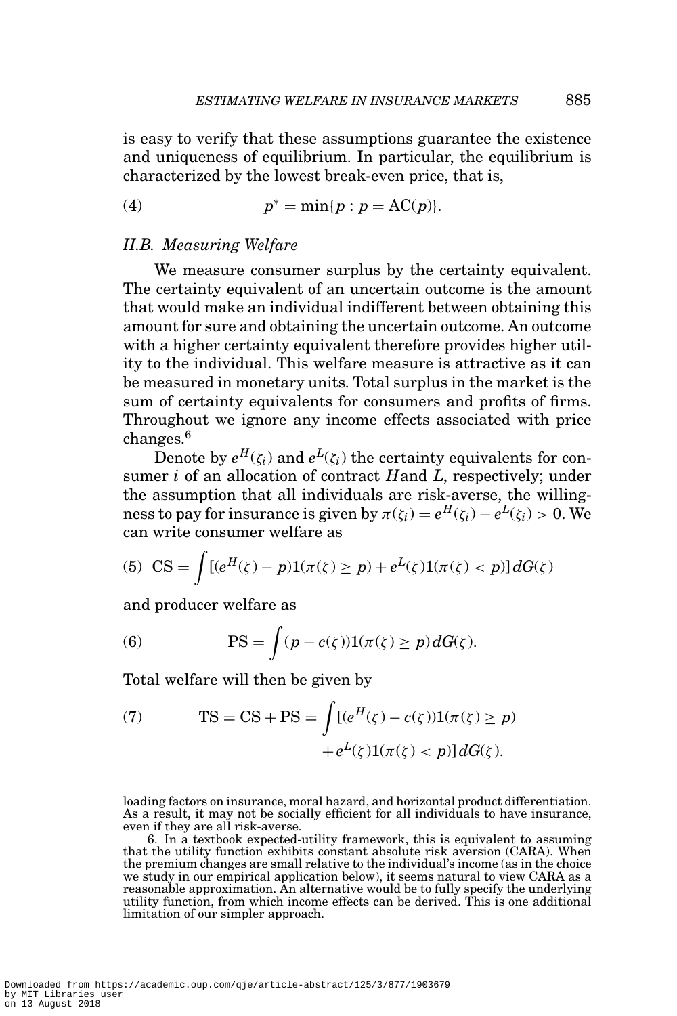is easy to verify that these assumptions guarantee the existence and uniqueness of equilibrium. In particular, the equilibrium is characterized by the lowest break-even price, that is,

(4) 
$$
p^* = \min\{p : p = AC(p)\}.
$$

#### *II.B. Measuring Welfare*

We measure consumer surplus by the certainty equivalent. The certainty equivalent of an uncertain outcome is the amount that would make an individual indifferent between obtaining this amount for sure and obtaining the uncertain outcome. An outcome with a higher certainty equivalent therefore provides higher utility to the individual. This welfare measure is attractive as it can be measured in monetary units. Total surplus in the market is the sum of certainty equivalents for consumers and profits of firms. Throughout we ignore any income effects associated with price changes.<sup>6</sup>

Denote by  $e^H(\zeta_i)$  and  $e^L(\zeta_i)$  the certainty equivalents for consumer *i* of an allocation of contract *H*and *L*, respectively; under the assumption that all individuals are risk-averse, the willingness to pay for insurance is given by  $\pi(\zeta_i) = e^H(\zeta_i) - e^L(\zeta_i) > 0$ . We can write consumer welfare as

(5) 
$$
CS = \int [(e^H(\zeta) - p)1(\pi(\zeta) \ge p) + e^L(\zeta)1(\pi(\zeta) < p)] \, dG(\zeta)
$$

and producer welfare as

(6) 
$$
PS = \int (p - c(\zeta)) \mathbb{1}(\pi(\zeta) \ge p) dG(\zeta).
$$

Total welfare will then be given by

(7) 
$$
TS = CS + PS = \int [(e^H(\zeta) - c(\zeta))1(\pi(\zeta) \ge p) + e^L(\zeta)1(\pi(\zeta) < p)] dG(\zeta).
$$

loading factors on insurance, moral hazard, and horizontal product differentiation. As a result, it may not be socially efficient for all individuals to have insurance, even if they are all risk-averse.

<sup>6.</sup> In a textbook expected-utility framework, this is equivalent to assuming that the utility function exhibits constant absolute risk aversion (CARA). When the premium changes are small relative to the individual's income (as in the choice we study in our empirical application below), it seems natural to view CARA as a reasonable approximation. An alternative would be to fully specify the underlying utility function, from which income effects can be derived. This is one additional limitation of our simpler approach.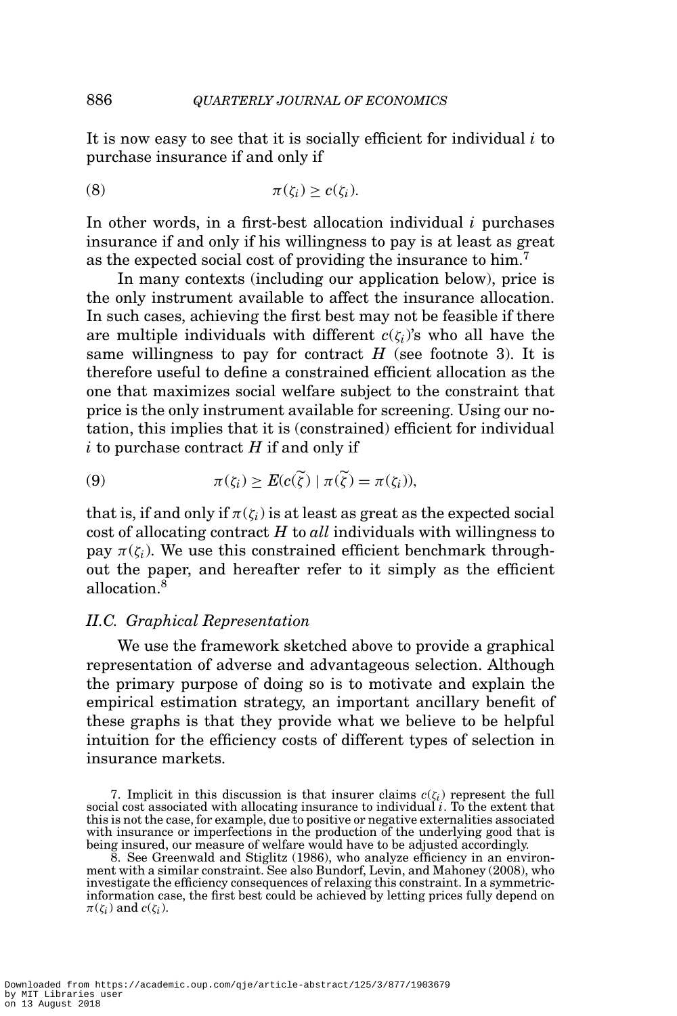It is now easy to see that it is socially efficient for individual *i* to purchase insurance if and only if

$$
\pi(\zeta_i) \ge c(\zeta_i).
$$

In other words, in a first-best allocation individual *i* purchases insurance if and only if his willingness to pay is at least as great as the expected social cost of providing the insurance to him.<sup>7</sup>

In many contexts (including our application below), price is the only instrument available to affect the insurance allocation. In such cases, achieving the first best may not be feasible if there are multiple individuals with different  $c(\zeta_i)$ 's who all have the same willingness to pay for contract  $H$  (see footnote 3). It is therefore useful to define a constrained efficient allocation as the one that maximizes social welfare subject to the constraint that price is the only instrument available for screening. Using our notation, this implies that it is (constrained) efficient for individual *i* to purchase contract *H* if and only if

(9) 
$$
\pi(\zeta_i) \geq E(c(\widetilde{\zeta}) \mid \pi(\widetilde{\zeta}) = \pi(\zeta_i)),
$$

that is, if and only if  $\pi(\zeta_i)$  is at least as great as the expected social cost of allocating contract *H* to *all* individuals with willingness to pay  $\pi(\zeta_i)$ . We use this constrained efficient benchmark throughout the paper, and hereafter refer to it simply as the efficient allocation.8

# *II.C. Graphical Representation*

We use the framework sketched above to provide a graphical representation of adverse and advantageous selection. Although the primary purpose of doing so is to motivate and explain the empirical estimation strategy, an important ancillary benefit of these graphs is that they provide what we believe to be helpful intuition for the efficiency costs of different types of selection in insurance markets.

Downloaded from https://academic.oup.com/qje/article-abstract/125/3/877/1903679 by MIT Libraries user on 13 August 2018

<sup>7.</sup> Implicit in this discussion is that insurer claims  $c(\zeta_i)$  represent the full social cost associated with allocating insurance to individual  $i$ . To the extent that this is not the case, for example, due to positive or negative externalities associated with insurance or imperfections in the production of the underlying good that is being insured, our measure of welfare would have to be adjusted accordingly.

<sup>8.</sup> See Greenwald and Stiglitz (1986), who analyze efficiency in an environment with a similar constraint. See also Bundorf, Levin, and Mahoney (2008), who investigate the efficiency consequences of relaxing this constraint. In a symmetricinformation case, the first best could be achieved by letting prices fully depend on  $\pi(\zeta_i)$  and  $c(\zeta_i)$ .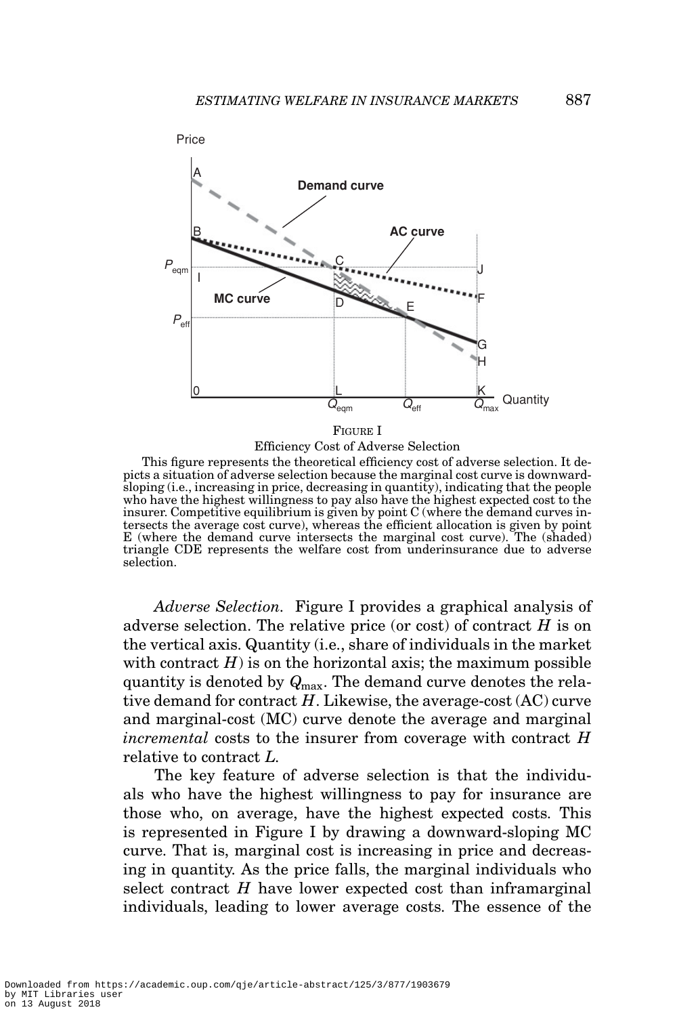

Efficiency Cost of Adverse Selection

This figure represents the theoretical efficiency cost of adverse selection. It depicts a situation of adverse selection because the marginal cost curve is downwardsloping (i.e., increasing in price, decreasing in quantity), indicating that the people who have the highest willingness to pay also have the highest expected cost to the insurer. Competitive equilibrium is given by point C (where the demand curves intersects the average cost curve), whereas the efficient allocation is given by point E (where the demand curve intersects the marginal cost curve). The (shaded) triangle CDE represents the welfare cost from underinsurance due to adverse selection.

*Adverse Selection.* Figure I provides a graphical analysis of adverse selection. The relative price (or cost) of contract *H* is on the vertical axis. Quantity (i.e., share of individuals in the market with contract  $H$ ) is on the horizontal axis; the maximum possible quantity is denoted by *Q*max. The demand curve denotes the relative demand for contract *H*. Likewise, the average-cost (AC) curve and marginal-cost (MC) curve denote the average and marginal *incremental* costs to the insurer from coverage with contract *H* relative to contract *L*.

The key feature of adverse selection is that the individuals who have the highest willingness to pay for insurance are those who, on average, have the highest expected costs. This is represented in Figure I by drawing a downward-sloping MC curve. That is, marginal cost is increasing in price and decreasing in quantity. As the price falls, the marginal individuals who select contract *H* have lower expected cost than inframarginal individuals, leading to lower average costs. The essence of the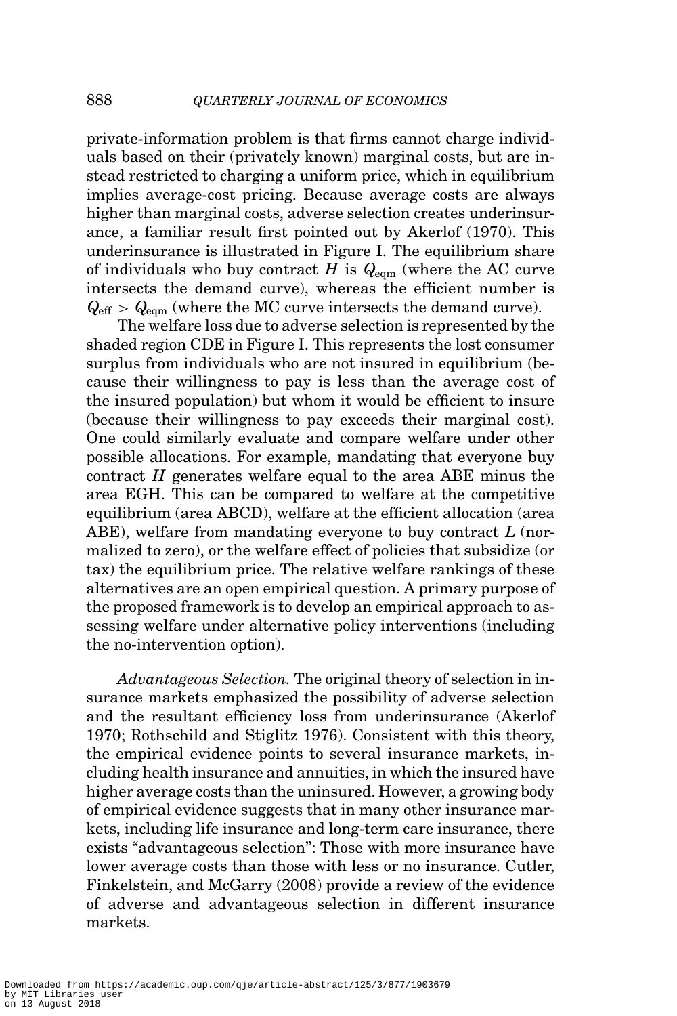private-information problem is that firms cannot charge individuals based on their (privately known) marginal costs, but are instead restricted to charging a uniform price, which in equilibrium implies average-cost pricing. Because average costs are always higher than marginal costs, adverse selection creates underinsurance, a familiar result first pointed out by Akerlof (1970). This underinsurance is illustrated in Figure I. The equilibrium share of individuals who buy contract  $H$  is  $Q_{\text{eqm}}$  (where the AC curve intersects the demand curve), whereas the efficient number is  $Q_{\text{eff}} > Q_{\text{ecm}}$  (where the MC curve intersects the demand curve).

The welfare loss due to adverse selection is represented by the shaded region CDE in Figure I. This represents the lost consumer surplus from individuals who are not insured in equilibrium (because their willingness to pay is less than the average cost of the insured population) but whom it would be efficient to insure (because their willingness to pay exceeds their marginal cost). One could similarly evaluate and compare welfare under other possible allocations. For example, mandating that everyone buy contract *H* generates welfare equal to the area ABE minus the area EGH. This can be compared to welfare at the competitive equilibrium (area ABCD), welfare at the efficient allocation (area ABE), welfare from mandating everyone to buy contract *L* (normalized to zero), or the welfare effect of policies that subsidize (or tax) the equilibrium price. The relative welfare rankings of these alternatives are an open empirical question. A primary purpose of the proposed framework is to develop an empirical approach to assessing welfare under alternative policy interventions (including the no-intervention option).

*Advantageous Selection.* The original theory of selection in insurance markets emphasized the possibility of adverse selection and the resultant efficiency loss from underinsurance (Akerlof 1970; Rothschild and Stiglitz 1976). Consistent with this theory, the empirical evidence points to several insurance markets, including health insurance and annuities, in which the insured have higher average costs than the uninsured. However, a growing body of empirical evidence suggests that in many other insurance markets, including life insurance and long-term care insurance, there exists "advantageous selection": Those with more insurance have lower average costs than those with less or no insurance. Cutler, Finkelstein, and McGarry (2008) provide a review of the evidence of adverse and advantageous selection in different insurance markets.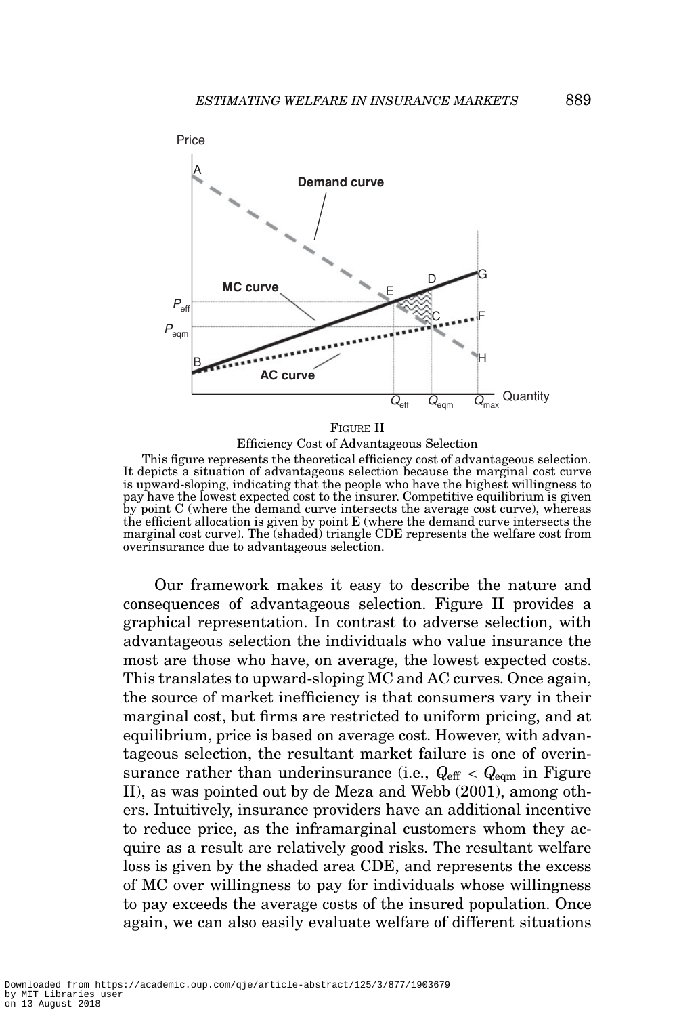

#### FIGURE II

Efficiency Cost of Advantageous Selection

This figure represents the theoretical efficiency cost of advantageous selection. It depicts a situation of advantageous selection because the marginal cost curve is upward-sloping, indicating that the people who have the highest willingness to pay have the lowest expected cost to the insurer. Competitive equilibrium is given by point C (where the demand curve intersects the average cost curve), whereas the efficient allocation is given by point E (where the demand curve intersects the marginal cost curve). The (shaded) triangle CDE represents the welfare cost from overinsurance due to advantageous selection.

Our framework makes it easy to describe the nature and consequences of advantageous selection. Figure II provides a graphical representation. In contrast to adverse selection, with advantageous selection the individuals who value insurance the most are those who have, on average, the lowest expected costs. This translates to upward-sloping MC and AC curves. Once again, the source of market inefficiency is that consumers vary in their marginal cost, but firms are restricted to uniform pricing, and at equilibrium, price is based on average cost. However, with advantageous selection, the resultant market failure is one of overinsurance rather than underinsurance (i.e.,  $Q_{\text{eff}} < Q_{\text{eom}}$  in Figure II), as was pointed out by de Meza and Webb (2001), among others. Intuitively, insurance providers have an additional incentive to reduce price, as the inframarginal customers whom they acquire as a result are relatively good risks. The resultant welfare loss is given by the shaded area CDE, and represents the excess of MC over willingness to pay for individuals whose willingness to pay exceeds the average costs of the insured population. Once again, we can also easily evaluate welfare of different situations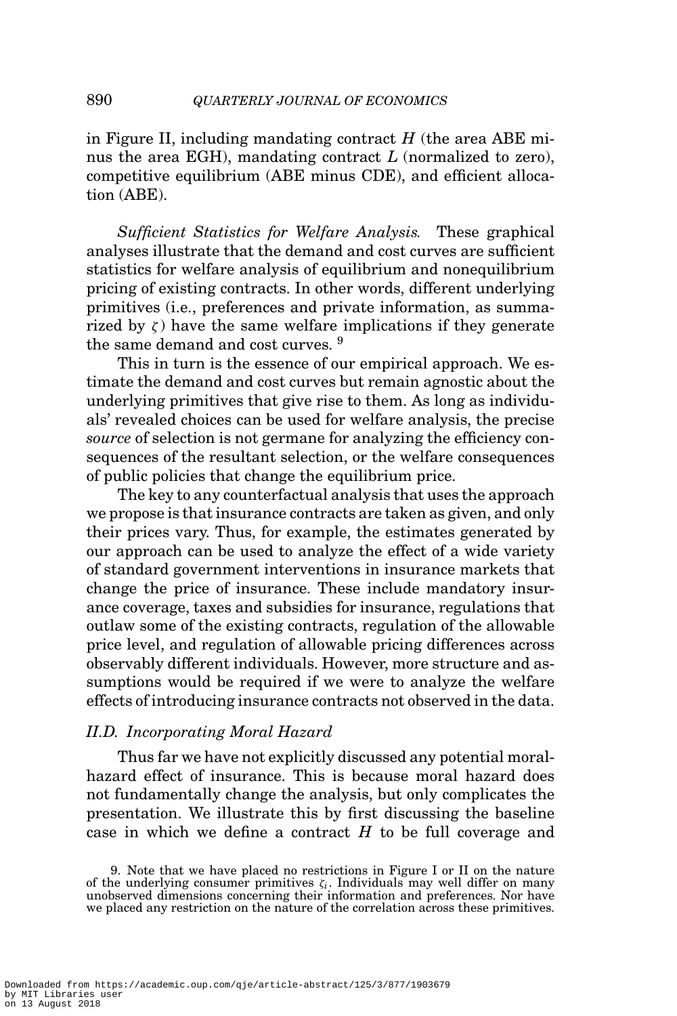in Figure II, including mandating contract *H* (the area ABE minus the area EGH), mandating contract *L* (normalized to zero), competitive equilibrium (ABE minus CDE), and efficient allocation (ABE).

*Sufficient Statistics for Welfare Analysis.* These graphical analyses illustrate that the demand and cost curves are sufficient statistics for welfare analysis of equilibrium and nonequilibrium pricing of existing contracts. In other words, different underlying primitives (i.e., preferences and private information, as summarized by  $\zeta$ ) have the same welfare implications if they generate the same demand and cost curves.<sup>9</sup>

This in turn is the essence of our empirical approach. We estimate the demand and cost curves but remain agnostic about the underlying primitives that give rise to them. As long as individuals' revealed choices can be used for welfare analysis, the precise *source* of selection is not germane for analyzing the efficiency consequences of the resultant selection, or the welfare consequences of public policies that change the equilibrium price.

The key to any counterfactual analysis that uses the approach we propose is that insurance contracts are taken as given, and only their prices vary. Thus, for example, the estimates generated by our approach can be used to analyze the effect of a wide variety of standard government interventions in insurance markets that change the price of insurance. These include mandatory insurance coverage, taxes and subsidies for insurance, regulations that outlaw some of the existing contracts, regulation of the allowable price level, and regulation of allowable pricing differences across observably different individuals. However, more structure and assumptions would be required if we were to analyze the welfare effects of introducing insurance contracts not observed in the data.

# *II.D. Incorporating Moral Hazard*

Thus far we have not explicitly discussed any potential moralhazard effect of insurance. This is because moral hazard does not fundamentally change the analysis, but only complicates the presentation. We illustrate this by first discussing the baseline case in which we define a contract *H* to be full coverage and

Downloaded from https://academic.oup.com/qje/article-abstract/125/3/877/1903679

by MIT Libraries user on 13 August 2018

<sup>9.</sup> Note that we have placed no restrictions in Figure I or II on the nature of the underlying consumer primitives  $\zeta_i$ . Individuals may well differ on many unobserved dimensions concerning their information and preferences. Nor have we placed any restriction on the nature of the correlation across these primitives.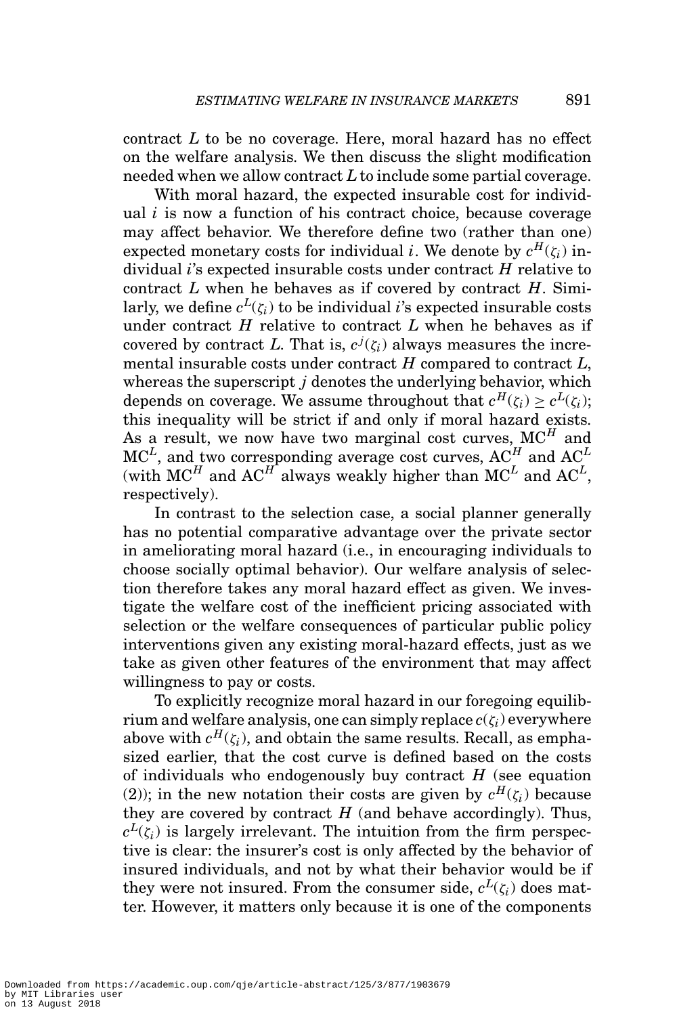contract *L* to be no coverage. Here, moral hazard has no effect on the welfare analysis. We then discuss the slight modification needed when we allow contract *L*to include some partial coverage.

With moral hazard, the expected insurable cost for individual *i* is now a function of his contract choice, because coverage may affect behavior. We therefore define two (rather than one) expected monetary costs for individual *i*. We denote by  $c^{H}(\zeta_i)$  individual *i*'s expected insurable costs under contract *H* relative to contract *L* when he behaves as if covered by contract *H*. Similarly, we define  $c^L(\zeta_i)$  to be individual *i*'s expected insurable costs under contract *H* relative to contract *L* when he behaves as if covered by contract *L*. That is,  $c^{j}(\zeta_i)$  always measures the incremental insurable costs under contract *H* compared to contract *L*, whereas the superscript *j* denotes the underlying behavior, which depends on coverage. We assume throughout that  $c^H(\zeta_i) > c^L(\zeta_i)$ ; this inequality will be strict if and only if moral hazard exists. As a result, we now have two marginal cost curves, MC*<sup>H</sup>* and MC*<sup>L</sup>*, and two corresponding average cost curves, AC*<sup>H</sup>* and AC*<sup>L</sup>* (with  $MC^H$  and  $AC^H$  always weakly higher than  $MC^L$  and  $AC^L$ , respectively).

In contrast to the selection case, a social planner generally has no potential comparative advantage over the private sector in ameliorating moral hazard (i.e., in encouraging individuals to choose socially optimal behavior). Our welfare analysis of selection therefore takes any moral hazard effect as given. We investigate the welfare cost of the inefficient pricing associated with selection or the welfare consequences of particular public policy interventions given any existing moral-hazard effects, just as we take as given other features of the environment that may affect willingness to pay or costs.

To explicitly recognize moral hazard in our foregoing equilibrium and welfare analysis, one can simply replace  $c(\zeta_i)$  everywhere above with  $c^{H}(\zeta_i)$ , and obtain the same results. Recall, as emphasized earlier, that the cost curve is defined based on the costs of individuals who endogenously buy contract *H* (see equation (2)); in the new notation their costs are given by  $c^{H}(\zeta_i)$  because they are covered by contract  $H$  (and behave accordingly). Thus,  $c^{L}(\zeta_i)$  is largely irrelevant. The intuition from the firm perspective is clear: the insurer's cost is only affected by the behavior of insured individuals, and not by what their behavior would be if they were not insured. From the consumer side,  $c^L(\zeta_i)$  does matter. However, it matters only because it is one of the components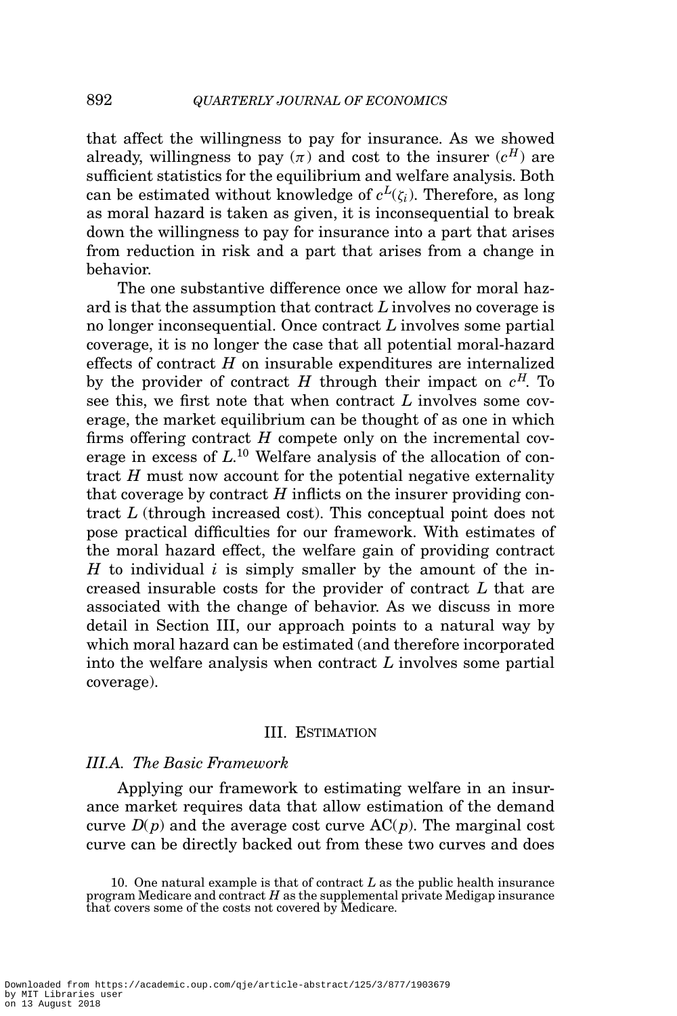that affect the willingness to pay for insurance. As we showed already, willingness to pay  $(\pi)$  and cost to the insurer  $(c^H)$  are sufficient statistics for the equilibrium and welfare analysis. Both can be estimated without knowledge of  $c^L(\zeta_i)$ . Therefore, as long as moral hazard is taken as given, it is inconsequential to break down the willingness to pay for insurance into a part that arises from reduction in risk and a part that arises from a change in behavior.

The one substantive difference once we allow for moral hazard is that the assumption that contract *L* involves no coverage is no longer inconsequential. Once contract *L* involves some partial coverage, it is no longer the case that all potential moral-hazard effects of contract *H* on insurable expenditures are internalized by the provider of contract *H* through their impact on  $c^H$ . To see this, we first note that when contract *L* involves some coverage, the market equilibrium can be thought of as one in which firms offering contract *H* compete only on the incremental coverage in excess of *L*. <sup>10</sup> Welfare analysis of the allocation of contract *H* must now account for the potential negative externality that coverage by contract *H* inflicts on the insurer providing contract *L* (through increased cost). This conceptual point does not pose practical difficulties for our framework. With estimates of the moral hazard effect, the welfare gain of providing contract *H* to individual *i* is simply smaller by the amount of the increased insurable costs for the provider of contract *L* that are associated with the change of behavior. As we discuss in more detail in Section III, our approach points to a natural way by which moral hazard can be estimated (and therefore incorporated into the welfare analysis when contract *L* involves some partial coverage).

#### III. ESTIMATION

#### *III.A. The Basic Framework*

Applying our framework to estimating welfare in an insurance market requires data that allow estimation of the demand curve  $D(p)$  and the average cost curve  $AC(p)$ . The marginal cost curve can be directly backed out from these two curves and does

<sup>10.</sup> One natural example is that of contract *L* as the public health insurance program Medicare and contract *H* as the supplemental private Medigap insurance that covers some of the costs not covered by Medicare.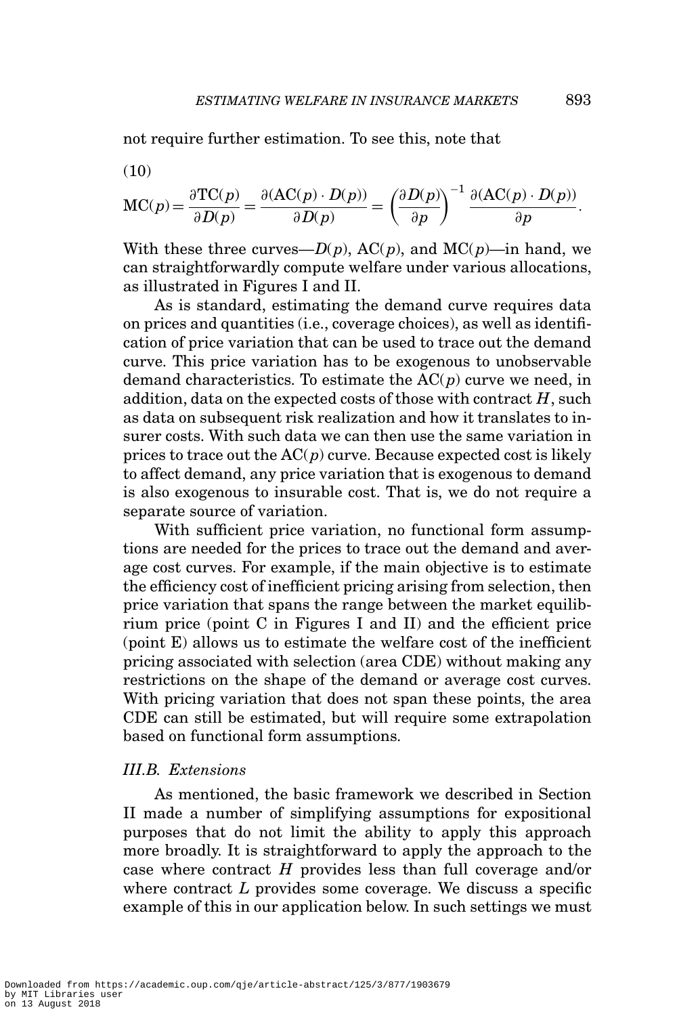not require further estimation. To see this, note that

(10)

$$
\mathrm{MC}(p) = \frac{\partial \mathrm{TC}(p)}{\partial D(p)} = \frac{\partial (\mathrm{AC}(p) \cdot D(p))}{\partial D(p)} = \left(\frac{\partial D(p)}{\partial p}\right)^{-1} \frac{\partial (\mathrm{AC}(p) \cdot D(p))}{\partial p}.
$$

With these three curves— $D(p)$ , AC(p), and MC(p)—in hand, we can straightforwardly compute welfare under various allocations, as illustrated in Figures I and II.

As is standard, estimating the demand curve requires data on prices and quantities (i.e., coverage choices), as well as identification of price variation that can be used to trace out the demand curve. This price variation has to be exogenous to unobservable demand characteristics. To estimate the AC(*p*) curve we need, in addition, data on the expected costs of those with contract *H*, such as data on subsequent risk realization and how it translates to insurer costs. With such data we can then use the same variation in prices to trace out the  $AC(p)$  curve. Because expected cost is likely to affect demand, any price variation that is exogenous to demand is also exogenous to insurable cost. That is, we do not require a separate source of variation.

With sufficient price variation, no functional form assumptions are needed for the prices to trace out the demand and average cost curves. For example, if the main objective is to estimate the efficiency cost of inefficient pricing arising from selection, then price variation that spans the range between the market equilibrium price (point C in Figures I and II) and the efficient price (point E) allows us to estimate the welfare cost of the inefficient pricing associated with selection (area CDE) without making any restrictions on the shape of the demand or average cost curves. With pricing variation that does not span these points, the area CDE can still be estimated, but will require some extrapolation based on functional form assumptions.

#### *III.B. Extensions*

As mentioned, the basic framework we described in Section II made a number of simplifying assumptions for expositional purposes that do not limit the ability to apply this approach more broadly. It is straightforward to apply the approach to the case where contract *H* provides less than full coverage and/or where contract *L* provides some coverage. We discuss a specific example of this in our application below. In such settings we must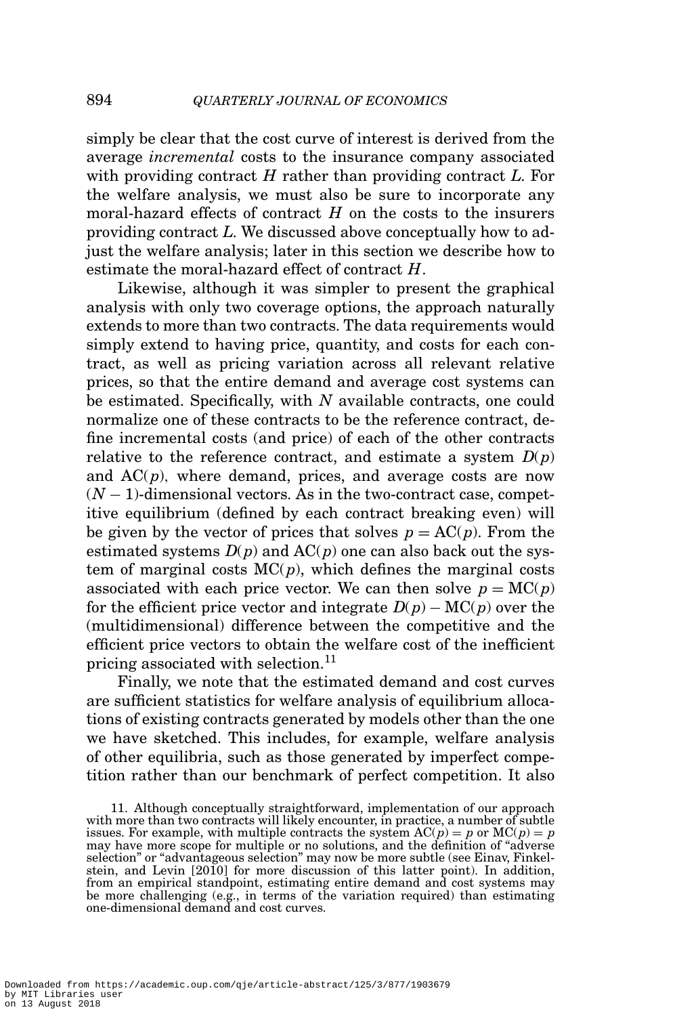simply be clear that the cost curve of interest is derived from the average *incremental* costs to the insurance company associated with providing contract *H* rather than providing contract *L*. For the welfare analysis, we must also be sure to incorporate any moral-hazard effects of contract *H* on the costs to the insurers providing contract *L*. We discussed above conceptually how to adjust the welfare analysis; later in this section we describe how to estimate the moral-hazard effect of contract *H*.

Likewise, although it was simpler to present the graphical analysis with only two coverage options, the approach naturally extends to more than two contracts. The data requirements would simply extend to having price, quantity, and costs for each contract, as well as pricing variation across all relevant relative prices, so that the entire demand and average cost systems can be estimated. Specifically, with *N* available contracts, one could normalize one of these contracts to be the reference contract, define incremental costs (and price) of each of the other contracts relative to the reference contract, and estimate a system  $D(p)$ and  $AC(p)$ , where demand, prices, and average costs are now  $(N-1)$ -dimensional vectors. As in the two-contract case, competitive equilibrium (defined by each contract breaking even) will be given by the vector of prices that solves  $p = AC(p)$ . From the estimated systems  $D(p)$  and  $AC(p)$  one can also back out the system of marginal costs  $MC(p)$ , which defines the marginal costs associated with each price vector. We can then solve  $p = \text{MC}(p)$ for the efficient price vector and integrate  $D(p) - \text{MC}(p)$  over the (multidimensional) difference between the competitive and the efficient price vectors to obtain the welfare cost of the inefficient pricing associated with selection.<sup>11</sup>

Finally, we note that the estimated demand and cost curves are sufficient statistics for welfare analysis of equilibrium allocations of existing contracts generated by models other than the one we have sketched. This includes, for example, welfare analysis of other equilibria, such as those generated by imperfect competition rather than our benchmark of perfect competition. It also

<sup>11.</sup> Although conceptually straightforward, implementation of our approach with more than two contracts will likely encounter, in practice, a number of subtle issues. For example, with multiple contracts the system  $AC(p) = p$  or  $MC(p) = p$ may have more scope for multiple or no solutions, and the definition of "adverse selection" or "advantageous selection" may now be more subtle (see Einav, Finkelsteed and Levin [2010] for more discussion of this latter point). In addition, from an empirical standpoint, estimating entire demand and cost systems may be more challenging (e.g., in terms of the variation required) than estimating one-dimensional demand and cost curves.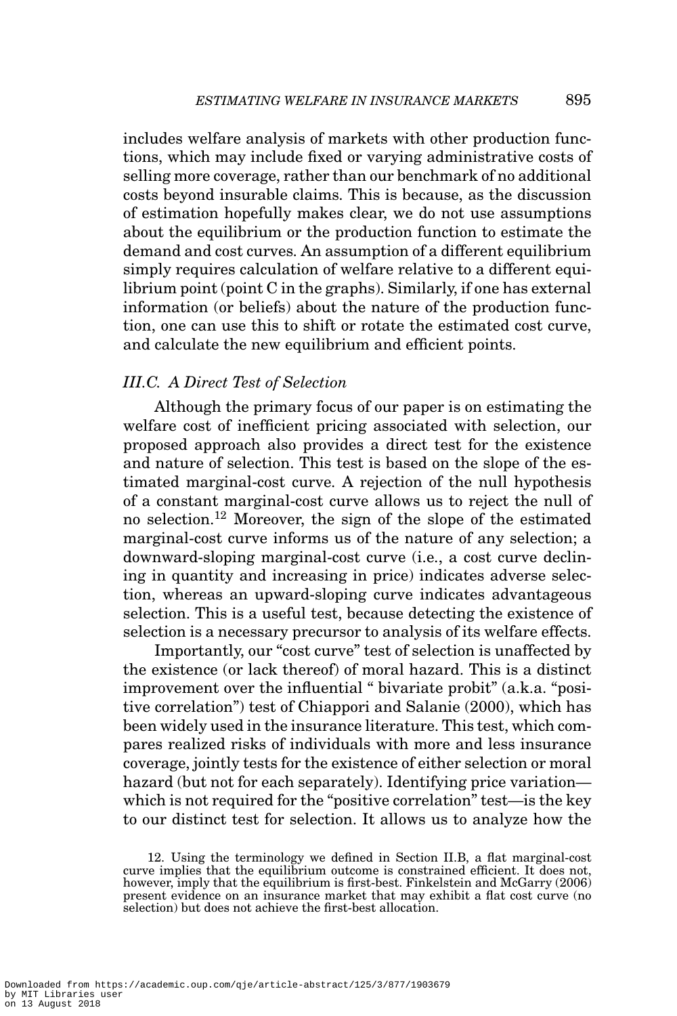includes welfare analysis of markets with other production functions, which may include fixed or varying administrative costs of selling more coverage, rather than our benchmark of no additional costs beyond insurable claims. This is because, as the discussion of estimation hopefully makes clear, we do not use assumptions about the equilibrium or the production function to estimate the demand and cost curves. An assumption of a different equilibrium simply requires calculation of welfare relative to a different equilibrium point (point C in the graphs). Similarly, if one has external information (or beliefs) about the nature of the production function, one can use this to shift or rotate the estimated cost curve, and calculate the new equilibrium and efficient points.

# *III.C. A Direct Test of Selection*

Although the primary focus of our paper is on estimating the welfare cost of inefficient pricing associated with selection, our proposed approach also provides a direct test for the existence and nature of selection. This test is based on the slope of the estimated marginal-cost curve. A rejection of the null hypothesis of a constant marginal-cost curve allows us to reject the null of no selection.<sup>12</sup> Moreover, the sign of the slope of the estimated marginal-cost curve informs us of the nature of any selection; a downward-sloping marginal-cost curve (i.e., a cost curve declining in quantity and increasing in price) indicates adverse selection, whereas an upward-sloping curve indicates advantageous selection. This is a useful test, because detecting the existence of selection is a necessary precursor to analysis of its welfare effects.

Importantly, our "cost curve" test of selection is unaffected by the existence (or lack thereof) of moral hazard. This is a distinct improvement over the influential " bivariate probit" (a.k.a. "positive correlation") test of Chiappori and Salanie (2000), which has been widely used in the insurance literature. This test, which compares realized risks of individuals with more and less insurance coverage, jointly tests for the existence of either selection or moral hazard (but not for each separately). Identifying price variation which is not required for the "positive correlation" test—is the key to our distinct test for selection. It allows us to analyze how the

<sup>12.</sup> Using the terminology we defined in Section II.B, a flat marginal-cost curve implies that the equilibrium outcome is constrained efficient. It does not, however, imply that the equilibrium is first-best. Finkelstein and McGarry (2006) present evidence on an insurance market that may exhibit a flat cost curve (no selection) but does not achieve the first-best allocation.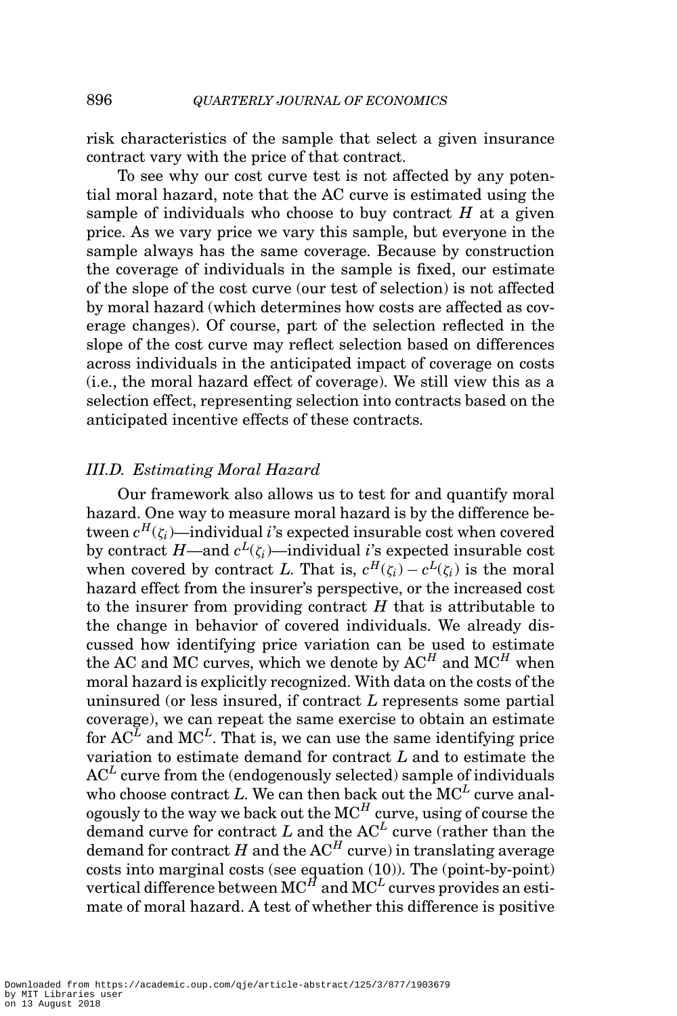risk characteristics of the sample that select a given insurance contract vary with the price of that contract.

To see why our cost curve test is not affected by any potential moral hazard, note that the AC curve is estimated using the sample of individuals who choose to buy contract *H* at a given price. As we vary price we vary this sample, but everyone in the sample always has the same coverage. Because by construction the coverage of individuals in the sample is fixed, our estimate of the slope of the cost curve (our test of selection) is not affected by moral hazard (which determines how costs are affected as coverage changes). Of course, part of the selection reflected in the slope of the cost curve may reflect selection based on differences across individuals in the anticipated impact of coverage on costs (i.e., the moral hazard effect of coverage). We still view this as a selection effect, representing selection into contracts based on the anticipated incentive effects of these contracts.

# *III.D. Estimating Moral Hazard*

Our framework also allows us to test for and quantify moral hazard. One way to measure moral hazard is by the difference between  $c^H(\zeta_i)$ —individual *i*'s expected insurable cost when covered by contract *H*—and  $c^L(\zeta)$ —individual *i*'s expected insurable cost when covered by contract *L*. That is,  $c^H(\zeta_i) - c^L(\zeta_i)$  is the moral hazard effect from the insurer's perspective, or the increased cost to the insurer from providing contract *H* that is attributable to the change in behavior of covered individuals. We already discussed how identifying price variation can be used to estimate the AC and MC curves, which we denote by  $AC^H$  and  $MC^H$  when moral hazard is explicitly recognized. With data on the costs of the uninsured (or less insured, if contract *L* represents some partial coverage), we can repeat the same exercise to obtain an estimate for  $AC^L$  and  $MC^L$ . That is, we can use the same identifying price variation to estimate demand for contract *L* and to estimate the  $AC<sup>L</sup>$  curve from the (endogenously selected) sample of individuals who choose contract *L*. We can then back out the MC*<sup>L</sup>* curve analogously to the way we back out the MC*<sup>H</sup>* curve, using of course the demand curve for contract *L* and the AC*<sup>L</sup>* curve (rather than the demand for contract  $H$  and the AC<sup>H</sup> curve) in translating average costs into marginal costs (see equation (10)). The (point-by-point) vertical difference between MC*<sup>H</sup>* and MC*<sup>L</sup>* curves provides an estimate of moral hazard. A test of whether this difference is positive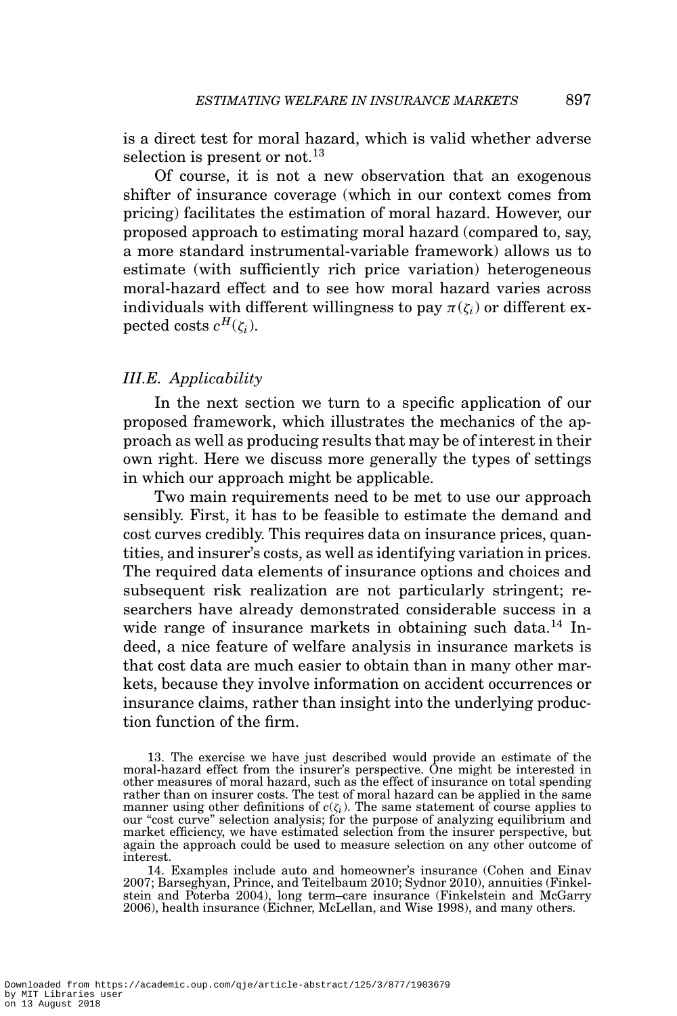is a direct test for moral hazard, which is valid whether adverse selection is present or not.<sup>13</sup>

Of course, it is not a new observation that an exogenous shifter of insurance coverage (which in our context comes from pricing) facilitates the estimation of moral hazard. However, our proposed approach to estimating moral hazard (compared to, say, a more standard instrumental-variable framework) allows us to estimate (with sufficiently rich price variation) heterogeneous moral-hazard effect and to see how moral hazard varies across individuals with different willingness to pay  $\pi(\zeta_i)$  or different expected costs  $c^H(\zeta_i)$ .

# *III.E. Applicability*

In the next section we turn to a specific application of our proposed framework, which illustrates the mechanics of the approach as well as producing results that may be of interest in their own right. Here we discuss more generally the types of settings in which our approach might be applicable.

Two main requirements need to be met to use our approach sensibly. First, it has to be feasible to estimate the demand and cost curves credibly. This requires data on insurance prices, quantities, and insurer's costs, as well as identifying variation in prices. The required data elements of insurance options and choices and subsequent risk realization are not particularly stringent; researchers have already demonstrated considerable success in a wide range of insurance markets in obtaining such data.<sup>14</sup> Indeed, a nice feature of welfare analysis in insurance markets is that cost data are much easier to obtain than in many other markets, because they involve information on accident occurrences or insurance claims, rather than insight into the underlying production function of the firm.

13. The exercise we have just described would provide an estimate of the moral-hazard effect from the insurer's perspective. One might be interested in other measures of moral hazard, such as the effect of insurance on total spending rather than on insurer costs. The test of moral hazard can be applied in the same manner using other definitions of  $c(\zeta_i)$ . The same statement of course applies to our "cost curve" selection analysis; for the purpose of analyzing equilibrium and market efficiency, we have estimated selection from the again the approach could be used to measure selection on any other outcome of interest.

14. Examples include auto and homeowner's insurance (Cohen and Einav 2007; Barseghyan, Prince, and Teitelbaum 2010; Sydnor 2010), annuities (Finkelstein and Poterba 2004), long term–care insurance (Finkelstein and McGarry 2006), health insurance (Eichner, McLellan, and Wise 1998), and many others.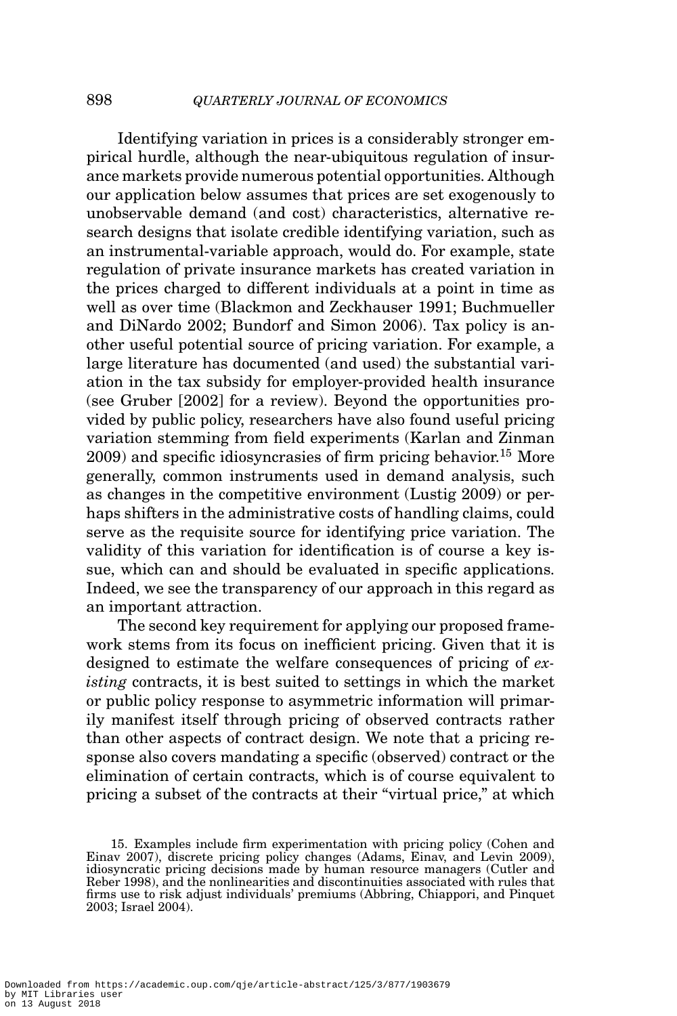Identifying variation in prices is a considerably stronger empirical hurdle, although the near-ubiquitous regulation of insurance markets provide numerous potential opportunities. Although our application below assumes that prices are set exogenously to unobservable demand (and cost) characteristics, alternative research designs that isolate credible identifying variation, such as an instrumental-variable approach, would do. For example, state regulation of private insurance markets has created variation in the prices charged to different individuals at a point in time as well as over time (Blackmon and Zeckhauser 1991; Buchmueller and DiNardo 2002; Bundorf and Simon 2006). Tax policy is another useful potential source of pricing variation. For example, a large literature has documented (and used) the substantial variation in the tax subsidy for employer-provided health insurance (see Gruber [2002] for a review). Beyond the opportunities provided by public policy, researchers have also found useful pricing variation stemming from field experiments (Karlan and Zinman 2009) and specific idiosyncrasies of firm pricing behavior.15 More generally, common instruments used in demand analysis, such as changes in the competitive environment (Lustig 2009) or perhaps shifters in the administrative costs of handling claims, could serve as the requisite source for identifying price variation. The validity of this variation for identification is of course a key issue, which can and should be evaluated in specific applications. Indeed, we see the transparency of our approach in this regard as an important attraction.

The second key requirement for applying our proposed framework stems from its focus on inefficient pricing. Given that it is designed to estimate the welfare consequences of pricing of *existing* contracts, it is best suited to settings in which the market or public policy response to asymmetric information will primarily manifest itself through pricing of observed contracts rather than other aspects of contract design. We note that a pricing response also covers mandating a specific (observed) contract or the elimination of certain contracts, which is of course equivalent to pricing a subset of the contracts at their "virtual price," at which

<sup>15.</sup> Examples include firm experimentation with pricing policy (Cohen and Einav 2007), discrete pricing policy changes (Adams, Einav, and Levin 2009), idiosyncratic pricing decisions made by human resource managers (Cutler and Reber 1998), and the nonlinearities and discontinuities associated with rules that firms use to risk adjust individuals' premiums (Abbring, Chiappori, and Pinquet 2003; Israel 2004).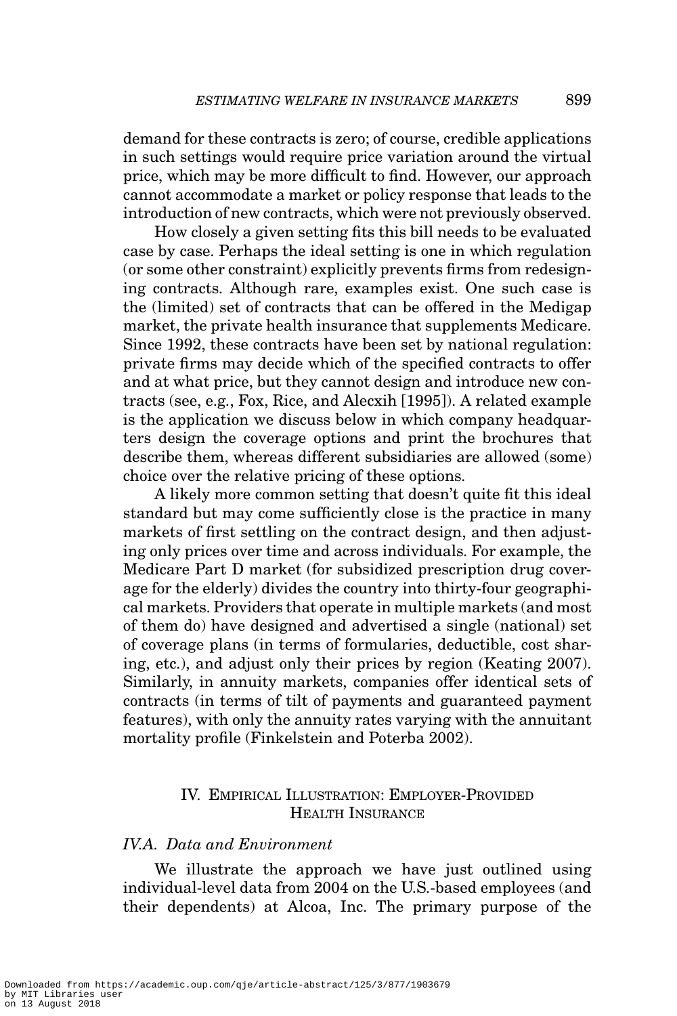demand for these contracts is zero; of course, credible applications in such settings would require price variation around the virtual price, which may be more difficult to find. However, our approach cannot accommodate a market or policy response that leads to the introduction of new contracts, which were not previously observed.

How closely a given setting fits this bill needs to be evaluated case by case. Perhaps the ideal setting is one in which regulation (or some other constraint) explicitly prevents firms from redesigning contracts. Although rare, examples exist. One such case is the (limited) set of contracts that can be offered in the Medigap market, the private health insurance that supplements Medicare. Since 1992, these contracts have been set by national regulation: private firms may decide which of the specified contracts to offer and at what price, but they cannot design and introduce new contracts (see, e.g., Fox, Rice, and Alecxih [1995]). A related example is the application we discuss below in which company headquarters design the coverage options and print the brochures that describe them, whereas different subsidiaries are allowed (some) choice over the relative pricing of these options.

A likely more common setting that doesn't quite fit this ideal standard but may come sufficiently close is the practice in many markets of first settling on the contract design, and then adjusting only prices over time and across individuals. For example, the Medicare Part D market (for subsidized prescription drug coverage for the elderly) divides the country into thirty-four geographical markets. Providers that operate in multiple markets (and most of them do) have designed and advertised a single (national) set of coverage plans (in terms of formularies, deductible, cost sharing, etc.), and adjust only their prices by region (Keating 2007). Similarly, in annuity markets, companies offer identical sets of contracts (in terms of tilt of payments and guaranteed payment features), with only the annuity rates varying with the annuitant mortality profile (Finkelstein and Poterba 2002).

# IV. EMPIRICAL ILLUSTRATION: EMPLOYER-PROVIDED HEALTH INSURANCE

#### *IV.A. Data and Environment*

We illustrate the approach we have just outlined using individual-level data from 2004 on the U.S.-based employees (and their dependents) at Alcoa, Inc. The primary purpose of the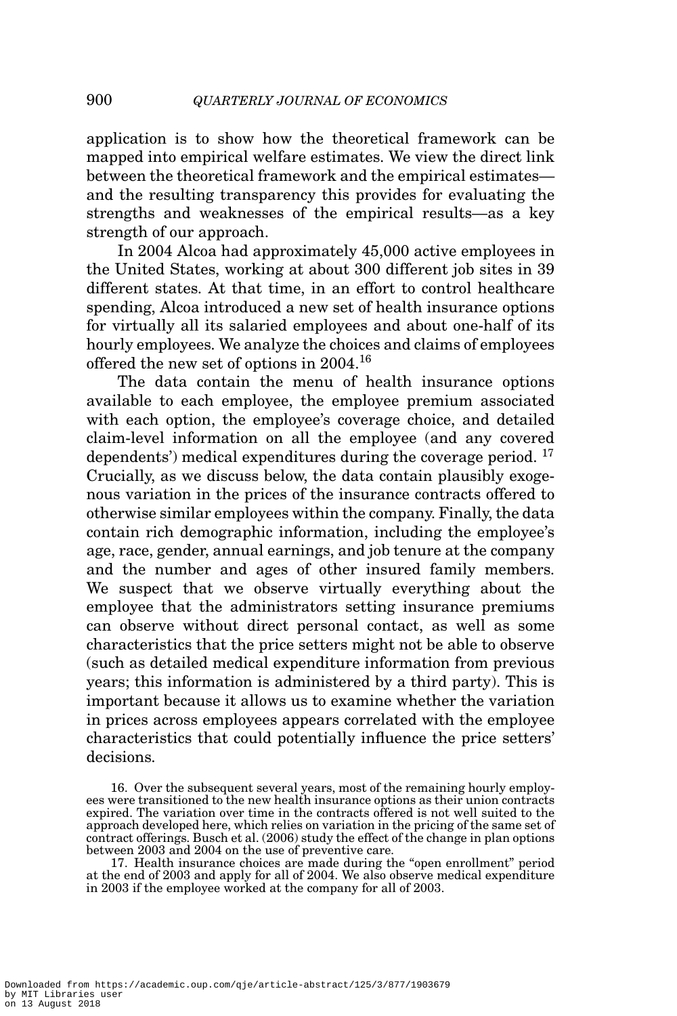application is to show how the theoretical framework can be mapped into empirical welfare estimates. We view the direct link between the theoretical framework and the empirical estimates and the resulting transparency this provides for evaluating the strengths and weaknesses of the empirical results—as a key strength of our approach.

In 2004 Alcoa had approximately 45,000 active employees in the United States, working at about 300 different job sites in 39 different states. At that time, in an effort to control healthcare spending, Alcoa introduced a new set of health insurance options for virtually all its salaried employees and about one-half of its hourly employees. We analyze the choices and claims of employees offered the new set of options in 2004.<sup>16</sup>

The data contain the menu of health insurance options available to each employee, the employee premium associated with each option, the employee's coverage choice, and detailed claim-level information on all the employee (and any covered dependents') medical expenditures during the coverage period. <sup>17</sup> Crucially, as we discuss below, the data contain plausibly exogenous variation in the prices of the insurance contracts offered to otherwise similar employees within the company. Finally, the data contain rich demographic information, including the employee's age, race, gender, annual earnings, and job tenure at the company and the number and ages of other insured family members. We suspect that we observe virtually everything about the employee that the administrators setting insurance premiums can observe without direct personal contact, as well as some characteristics that the price setters might not be able to observe (such as detailed medical expenditure information from previous years; this information is administered by a third party). This is important because it allows us to examine whether the variation in prices across employees appears correlated with the employee characteristics that could potentially influence the price setters' decisions.

17. Health insurance choices are made during the "open enrollment" period at the end of 2003 and apply for all of 2004. We also observe medical expenditure in 2003 if the employee worked at the company for all of 2003.

<sup>16.</sup> Over the subsequent several years, most of the remaining hourly employ-ees were transitioned to the new health insurance options as their union contracts expired. The variation over time in the contracts offered is not well suited to the approach developed here, which relies on variation in the pricing of the same set of contract offerings. Busch et al. (2006) study the effect of the change in plan options between 2003 and 2004 on the use of preventive care.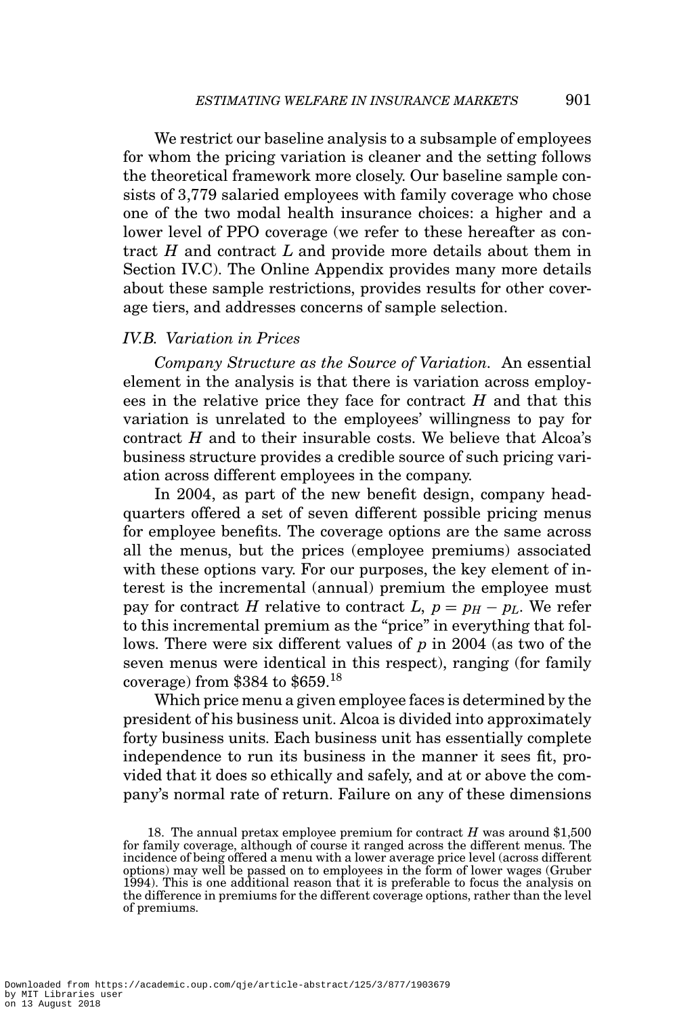We restrict our baseline analysis to a subsample of employees for whom the pricing variation is cleaner and the setting follows the theoretical framework more closely. Our baseline sample consists of 3,779 salaried employees with family coverage who chose one of the two modal health insurance choices: a higher and a lower level of PPO coverage (we refer to these hereafter as contract *H* and contract *L* and provide more details about them in Section IV.C). The Online Appendix provides many more details about these sample restrictions, provides results for other coverage tiers, and addresses concerns of sample selection.

#### *IV.B. Variation in Prices*

*Company Structure as the Source of Variation.* An essential element in the analysis is that there is variation across employees in the relative price they face for contract *H* and that this variation is unrelated to the employees' willingness to pay for contract *H* and to their insurable costs. We believe that Alcoa's business structure provides a credible source of such pricing variation across different employees in the company.

In 2004, as part of the new benefit design, company headquarters offered a set of seven different possible pricing menus for employee benefits. The coverage options are the same across all the menus, but the prices (employee premiums) associated with these options vary. For our purposes, the key element of interest is the incremental (annual) premium the employee must pay for contract *H* relative to contract *L*,  $p = p_H - p_L$ . We refer to this incremental premium as the "price" in everything that follows. There were six different values of *p* in 2004 (as two of the seven menus were identical in this respect), ranging (for family coverage) from \$384 to \$659.<sup>18</sup>

Which price menu a given employee faces is determined by the president of his business unit. Alcoa is divided into approximately forty business units. Each business unit has essentially complete independence to run its business in the manner it sees fit, provided that it does so ethically and safely, and at or above the company's normal rate of return. Failure on any of these dimensions

<sup>18.</sup> The annual pretax employee premium for contract *H* was around \$1,500 for family coverage, although of course it ranged across the different menus. The incidence of being offered a menu with a lower average price level (across different options) may well be passed on to employees in the form of lower wages (Gruber 1994). This is one additional reason that it is preferable to focus the analysis on the difference in premiums for the different coverage options, rather than the level of premiums.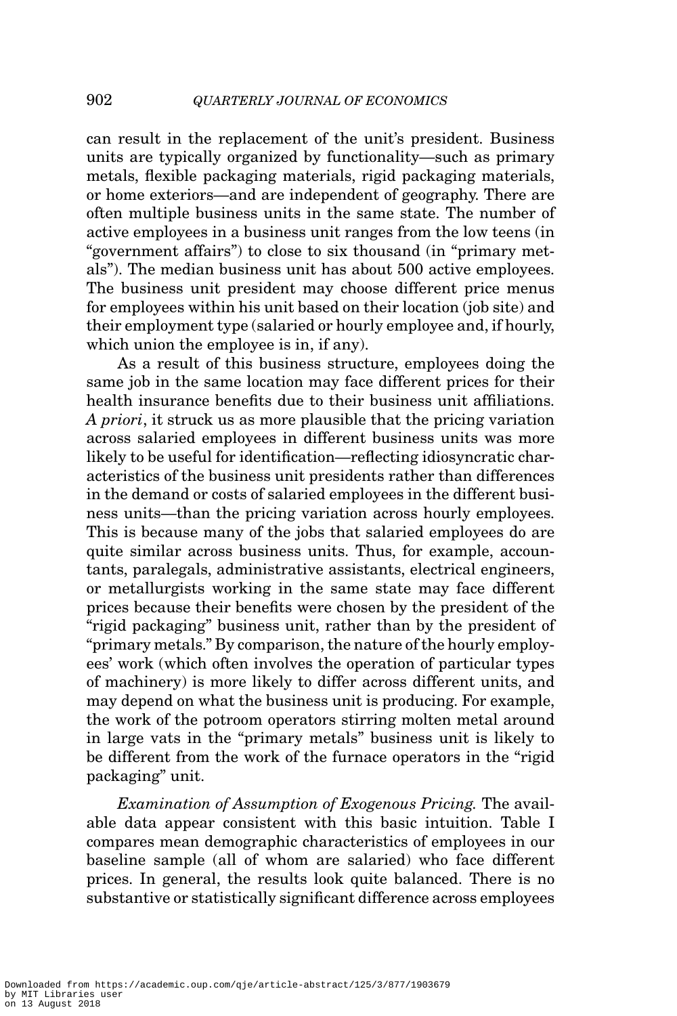can result in the replacement of the unit's president. Business units are typically organized by functionality—such as primary metals, flexible packaging materials, rigid packaging materials, or home exteriors—and are independent of geography. There are often multiple business units in the same state. The number of active employees in a business unit ranges from the low teens (in "government affairs") to close to six thousand (in "primary metals"). The median business unit has about 500 active employees. The business unit president may choose different price menus for employees within his unit based on their location (job site) and their employment type (salaried or hourly employee and, if hourly, which union the employee is in, if any).

As a result of this business structure, employees doing the same job in the same location may face different prices for their health insurance benefits due to their business unit affiliations. *A priori*, it struck us as more plausible that the pricing variation across salaried employees in different business units was more likely to be useful for identification—reflecting idiosyncratic characteristics of the business unit presidents rather than differences in the demand or costs of salaried employees in the different business units—than the pricing variation across hourly employees. This is because many of the jobs that salaried employees do are quite similar across business units. Thus, for example, accountants, paralegals, administrative assistants, electrical engineers, or metallurgists working in the same state may face different prices because their benefits were chosen by the president of the "rigid packaging" business unit, rather than by the president of "primary metals." By comparison, the nature of the hourly employees' work (which often involves the operation of particular types of machinery) is more likely to differ across different units, and may depend on what the business unit is producing. For example, the work of the potroom operators stirring molten metal around in large vats in the "primary metals" business unit is likely to be different from the work of the furnace operators in the "rigid packaging" unit.

*Examination of Assumption of Exogenous Pricing.* The available data appear consistent with this basic intuition. Table I compares mean demographic characteristics of employees in our baseline sample (all of whom are salaried) who face different prices. In general, the results look quite balanced. There is no substantive or statistically significant difference across employees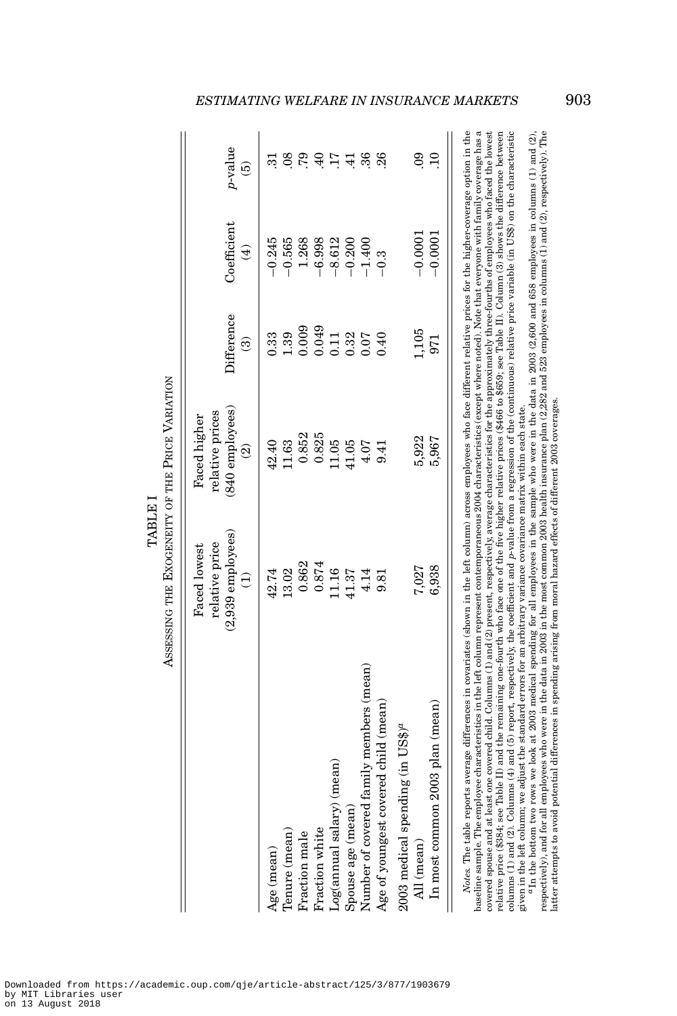|                                                                                                                                                                                                                                                                                                                                                                                                                                                                                                                                                                                                                                                                                                                                                                                                                                                                                                                                                                                                                                                                                                                                                                                                                                                                                                                                                                                                                                                                   | ASSESSING THE EXOGENEITY OF THE PRICE VARIATION<br>TABLE 1 |                                                                                |                                      |                                   |                          |
|-------------------------------------------------------------------------------------------------------------------------------------------------------------------------------------------------------------------------------------------------------------------------------------------------------------------------------------------------------------------------------------------------------------------------------------------------------------------------------------------------------------------------------------------------------------------------------------------------------------------------------------------------------------------------------------------------------------------------------------------------------------------------------------------------------------------------------------------------------------------------------------------------------------------------------------------------------------------------------------------------------------------------------------------------------------------------------------------------------------------------------------------------------------------------------------------------------------------------------------------------------------------------------------------------------------------------------------------------------------------------------------------------------------------------------------------------------------------|------------------------------------------------------------|--------------------------------------------------------------------------------|--------------------------------------|-----------------------------------|--------------------------|
|                                                                                                                                                                                                                                                                                                                                                                                                                                                                                                                                                                                                                                                                                                                                                                                                                                                                                                                                                                                                                                                                                                                                                                                                                                                                                                                                                                                                                                                                   | $(2,939$ employees)<br>relative price<br>Faced lowest<br>Э | (840 employees)<br>relative prices<br>Faced higher<br>$\widehat{\mathfrak{D}}$ | Difference<br>$\widehat{\mathbf{e}}$ | Coefficient<br>$\widehat{\Theta}$ | p-value<br>$\widehat{e}$ |
| Age (mean)                                                                                                                                                                                                                                                                                                                                                                                                                                                                                                                                                                                                                                                                                                                                                                                                                                                                                                                                                                                                                                                                                                                                                                                                                                                                                                                                                                                                                                                        | 42.74                                                      | 42.40                                                                          | 0.33                                 | $-0.245$                          | ವ                        |
| Tenure (mean)                                                                                                                                                                                                                                                                                                                                                                                                                                                                                                                                                                                                                                                                                                                                                                                                                                                                                                                                                                                                                                                                                                                                                                                                                                                                                                                                                                                                                                                     | 13.02                                                      | 11.63                                                                          | 1.39                                 | $-0.565$                          | $\overline{08}$          |
| Fraction male                                                                                                                                                                                                                                                                                                                                                                                                                                                                                                                                                                                                                                                                                                                                                                                                                                                                                                                                                                                                                                                                                                                                                                                                                                                                                                                                                                                                                                                     | 0.862                                                      | 0.852                                                                          | 0.009                                | 1.268                             | 79                       |
| Fraction white                                                                                                                                                                                                                                                                                                                                                                                                                                                                                                                                                                                                                                                                                                                                                                                                                                                                                                                                                                                                                                                                                                                                                                                                                                                                                                                                                                                                                                                    | 0.874                                                      | 0.825                                                                          | 0.049                                | $-6.998$                          | 40                       |
| Log(annual salary) (mean)                                                                                                                                                                                                                                                                                                                                                                                                                                                                                                                                                                                                                                                                                                                                                                                                                                                                                                                                                                                                                                                                                                                                                                                                                                                                                                                                                                                                                                         | 11.16                                                      | 11.05                                                                          | 0.11                                 | $-8.612$                          | $\overline{17}$          |
| Spouse age (mean)                                                                                                                                                                                                                                                                                                                                                                                                                                                                                                                                                                                                                                                                                                                                                                                                                                                                                                                                                                                                                                                                                                                                                                                                                                                                                                                                                                                                                                                 | 41.37                                                      | 41.05                                                                          | 0.32                                 | $-0.200$                          | $\overline{41}$          |
| Number of covered family members (mean)                                                                                                                                                                                                                                                                                                                                                                                                                                                                                                                                                                                                                                                                                                                                                                                                                                                                                                                                                                                                                                                                                                                                                                                                                                                                                                                                                                                                                           | 4.14                                                       | 4.07                                                                           | 0.07                                 | $-1.400$                          | 36                       |
| Age of youngest covered child (mean)                                                                                                                                                                                                                                                                                                                                                                                                                                                                                                                                                                                                                                                                                                                                                                                                                                                                                                                                                                                                                                                                                                                                                                                                                                                                                                                                                                                                                              | 9.81                                                       | 0.41                                                                           | 0.40                                 | $-0.3$                            | 26                       |
| $2003$ medical spending (in US\$) <sup>a</sup>                                                                                                                                                                                                                                                                                                                                                                                                                                                                                                                                                                                                                                                                                                                                                                                                                                                                                                                                                                                                                                                                                                                                                                                                                                                                                                                                                                                                                    |                                                            |                                                                                |                                      |                                   |                          |
| All (mean)                                                                                                                                                                                                                                                                                                                                                                                                                                                                                                                                                                                                                                                                                                                                                                                                                                                                                                                                                                                                                                                                                                                                                                                                                                                                                                                                                                                                                                                        | 7,027                                                      | 5,922                                                                          | 1,105                                | $-0.0001$                         | $\overline{6}$           |
| In most common 2003 plan (mean)                                                                                                                                                                                                                                                                                                                                                                                                                                                                                                                                                                                                                                                                                                                                                                                                                                                                                                                                                                                                                                                                                                                                                                                                                                                                                                                                                                                                                                   | 6,938                                                      | 5,967                                                                          | 971                                  | $-0.0001$                         | $\overline{10}$          |
| Notes. The table reports average differences in covariates (shown in the left column) across employees who face different relative prices for the higher-coverage option in the<br>baseline sample. The employee characteristics in the left column represent contemporaneous 2004 characteristics (except where noted). Note that everyone with family coverage has a<br>columns $(1)$ and $(2)$ . Columns $(4)$ and $(5)$ report, respectively, the coefficient and p-value from a regression of the (continuous) relative price variable (in US\$) on the characteristic<br>respectively), and for all employees who were in the data in 2003 in the most common 2003 health insurance plan (2,282 and 523 employees in columns (1) and (2), respectively). The<br>covered spouse and at least one covered child. Columns (1) and (2) present, respectively, average characteristics for the approximately three-fourths of employees who faced the lowest<br>relative price (\$384; see Table II) and the remaining one-fourth who face one of the five higher relative prices (\$466 to \$659; see Table II). Column (3) shows the difference between<br>$a$ In the bottom two rows we look at 2003 medical spending for all employees in the sample who were in the data in 2003 (2,600 and 658 employees in columns (1) and (2),<br>given in the left column; we adjust the standard errors for an arbitrary variance covariance matrix within each state. |                                                            |                                                                                |                                      |                                   |                          |

*ESTIMATING WELFARE IN INSURANCE MARKETS* 903

latter attempts to avoid potential differences in spending arising from moral hazard effects of different 2003 coverages.

latter attempts to avoid potential differences in spending arising from moral hazard effects of different 2003 coverages.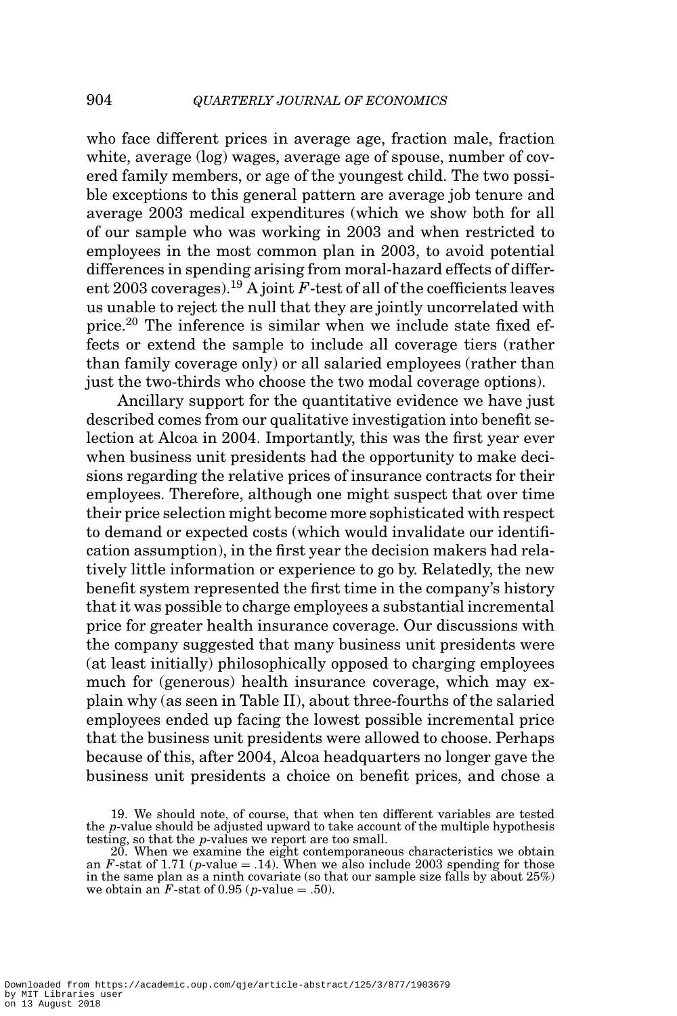who face different prices in average age, fraction male, fraction white, average (log) wages, average age of spouse, number of covered family members, or age of the youngest child. The two possible exceptions to this general pattern are average job tenure and average 2003 medical expenditures (which we show both for all of our sample who was working in 2003 and when restricted to employees in the most common plan in 2003, to avoid potential differences in spending arising from moral-hazard effects of different 2003 coverages).<sup>19</sup> A joint *F*-test of all of the coefficients leaves us unable to reject the null that they are jointly uncorrelated with price.<sup>20</sup> The inference is similar when we include state fixed effects or extend the sample to include all coverage tiers (rather than family coverage only) or all salaried employees (rather than just the two-thirds who choose the two modal coverage options).

Ancillary support for the quantitative evidence we have just described comes from our qualitative investigation into benefit selection at Alcoa in 2004. Importantly, this was the first year ever when business unit presidents had the opportunity to make decisions regarding the relative prices of insurance contracts for their employees. Therefore, although one might suspect that over time their price selection might become more sophisticated with respect to demand or expected costs (which would invalidate our identification assumption), in the first year the decision makers had relatively little information or experience to go by. Relatedly, the new benefit system represented the first time in the company's history that it was possible to charge employees a substantial incremental price for greater health insurance coverage. Our discussions with the company suggested that many business unit presidents were (at least initially) philosophically opposed to charging employees much for (generous) health insurance coverage, which may explain why (as seen in Table II), about three-fourths of the salaried employees ended up facing the lowest possible incremental price that the business unit presidents were allowed to choose. Perhaps because of this, after 2004, Alcoa headquarters no longer gave the business unit presidents a choice on benefit prices, and chose a

<sup>19.</sup> We should note, of course, that when ten different variables are tested the *p*-value should be adjusted upward to take account of the multiple hypothesis testing, so that the *p*-values we report are too small.

<sup>20.</sup> When we examine the eight contemporaneous characteristics we obtain an *F*-stat of 1.71 (*p*-value = .14). When we also include 2003 spending for those in the same plan as a ninth covariate (so that our sample size falls by about 25%) we obtain an  $\overline{F}$ -stat of 0.95 (*p*-value = .50).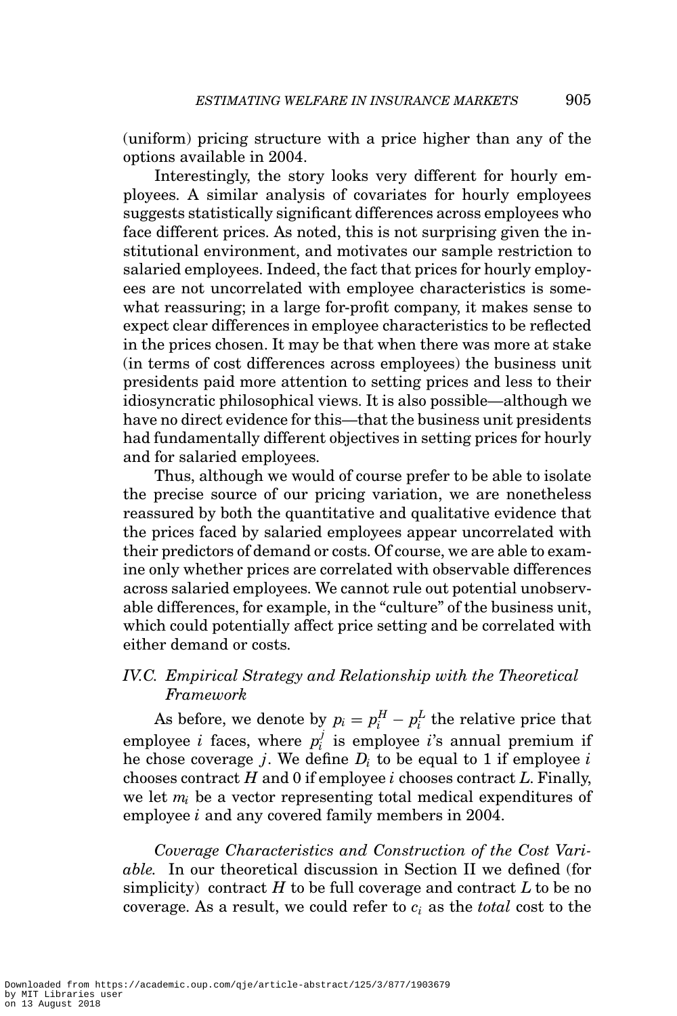(uniform) pricing structure with a price higher than any of the options available in 2004.

Interestingly, the story looks very different for hourly employees. A similar analysis of covariates for hourly employees suggests statistically significant differences across employees who face different prices. As noted, this is not surprising given the institutional environment, and motivates our sample restriction to salaried employees. Indeed, the fact that prices for hourly employees are not uncorrelated with employee characteristics is somewhat reassuring; in a large for-profit company, it makes sense to expect clear differences in employee characteristics to be reflected in the prices chosen. It may be that when there was more at stake (in terms of cost differences across employees) the business unit presidents paid more attention to setting prices and less to their idiosyncratic philosophical views. It is also possible—although we have no direct evidence for this—that the business unit presidents had fundamentally different objectives in setting prices for hourly and for salaried employees.

Thus, although we would of course prefer to be able to isolate the precise source of our pricing variation, we are nonetheless reassured by both the quantitative and qualitative evidence that the prices faced by salaried employees appear uncorrelated with their predictors of demand or costs. Of course, we are able to examine only whether prices are correlated with observable differences across salaried employees. We cannot rule out potential unobservable differences, for example, in the "culture" of the business unit, which could potentially affect price setting and be correlated with either demand or costs.

# *IV.C. Empirical Strategy and Relationship with the Theoretical Framework*

As before, we denote by  $p_i = p_i^H - p_i^L$  the relative price that employee *i* faces, where  $p_i^j$  is employee *i*'s annual premium if he chose coverage *j*. We define  $D_i$  to be equal to 1 if employee *i* chooses contract *H* and 0 if employee *i* chooses contract *L*. Finally, we let *mi* be a vector representing total medical expenditures of employee *i* and any covered family members in 2004.

*Coverage Characteristics and Construction of the Cost Variable.* In our theoretical discussion in Section II we defined (for simplicity) contract *H* to be full coverage and contract *L* to be no coverage. As a result, we could refer to *ci* as the *total* cost to the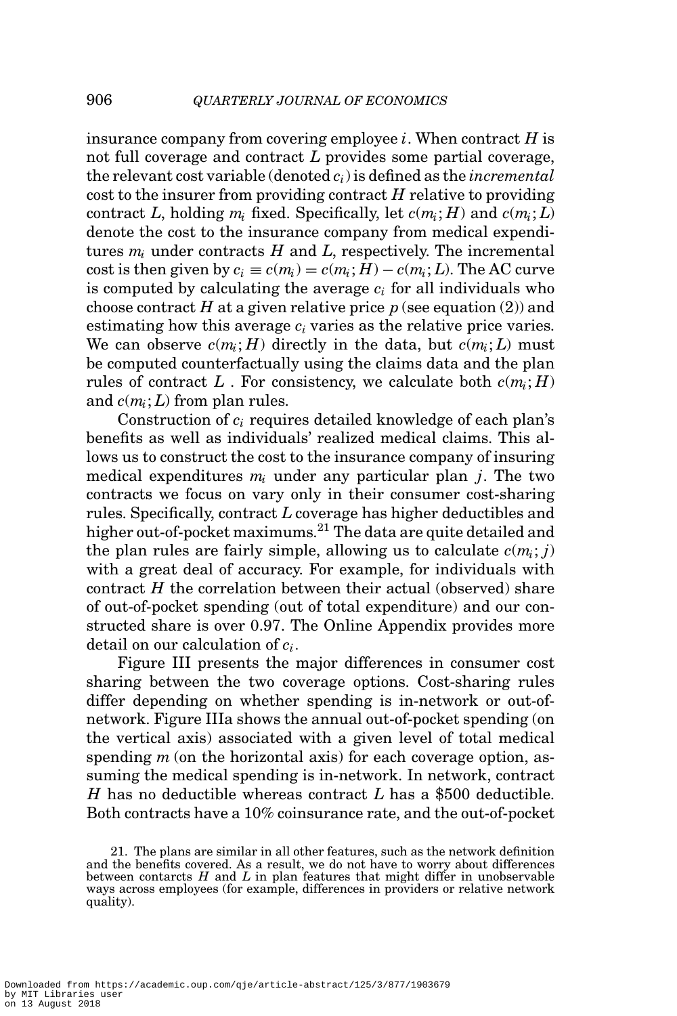insurance company from covering employee *i*. When contract *H* is not full coverage and contract *L* provides some partial coverage, the relevant cost variable (denoted *ci*) is defined as the *incremental* cost to the insurer from providing contract *H* relative to providing contract *L*, holding  $m_i$  fixed. Specifically, let  $c(m_i; H)$  and  $c(m_i; L)$ denote the cost to the insurance company from medical expenditures  $m_i$  under contracts  $H$  and  $L$ , respectively. The incremental cost is then given by  $c_i \equiv c(m_i) = c(m_i; H) - c(m_i; L)$ . The AC curve is computed by calculating the average  $c_i$  for all individuals who choose contract  $H$  at a given relative price  $p$  (see equation (2)) and estimating how this average *ci* varies as the relative price varies. We can observe  $c(m_i; H)$  directly in the data, but  $c(m_i; L)$  must be computed counterfactually using the claims data and the plan rules of contract L . For consistency, we calculate both  $c(m_i; H)$ and  $c(m_i; L)$  from plan rules.

Construction of *ci* requires detailed knowledge of each plan's benefits as well as individuals' realized medical claims. This allows us to construct the cost to the insurance company of insuring medical expenditures  $m_i$  under any particular plan *j*. The two contracts we focus on vary only in their consumer cost-sharing rules. Specifically, contract *L* coverage has higher deductibles and higher out-of-pocket maximums.<sup>21</sup> The data are quite detailed and the plan rules are fairly simple, allowing us to calculate  $c(m_i; j)$ with a great deal of accuracy. For example, for individuals with contract *H* the correlation between their actual (observed) share of out-of-pocket spending (out of total expenditure) and our constructed share is over 0.97. The Online Appendix provides more detail on our calculation of *ci*.

Figure III presents the major differences in consumer cost sharing between the two coverage options. Cost-sharing rules differ depending on whether spending is in-network or out-ofnetwork. Figure IIIa shows the annual out-of-pocket spending (on the vertical axis) associated with a given level of total medical spending *m* (on the horizontal axis) for each coverage option, assuming the medical spending is in-network. In network, contract *H* has no deductible whereas contract *L* has a \$500 deductible. Both contracts have a 10% coinsurance rate, and the out-of-pocket

<sup>21.</sup> The plans are similar in all other features, such as the network definition and the benefits covered. As a result, we do not have to worry about differences between contarcts *H* and *L* in plan features that might differ in unobservable ways across employees (for example, differences in providers or relative network quality).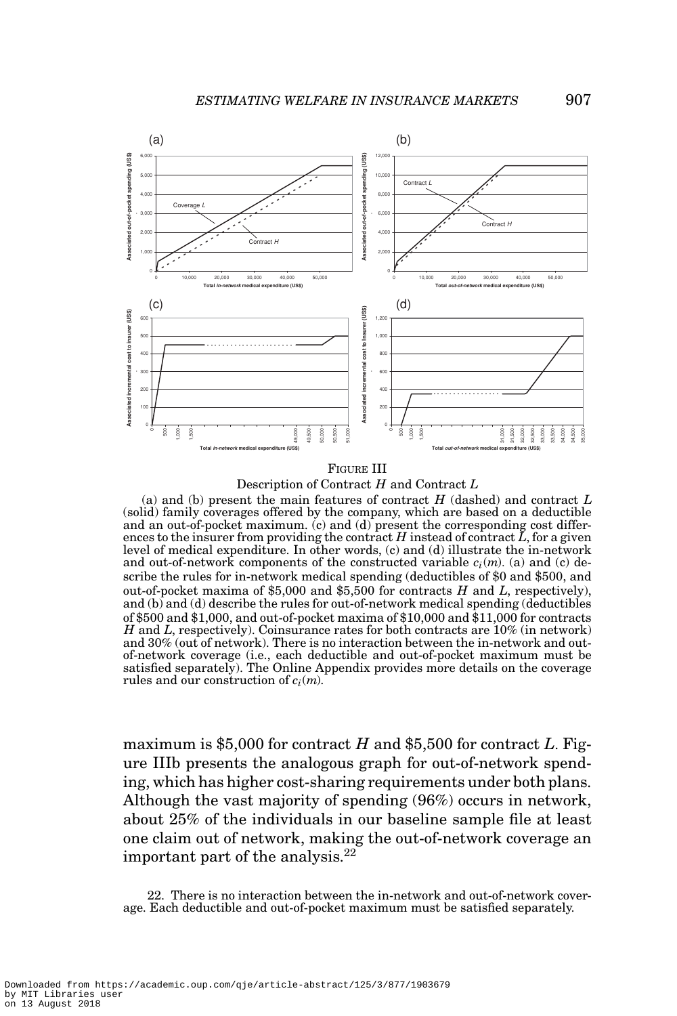

FIGURE III Description of Contract *H* and Contract *L*

(a) and (b) present the main features of contract *H* (dashed) and contract *L* (solid) family coverages offered by the company, which are based on a deductible and an out-of-pocket maximum. (c) and (d) present the corresponding cost differences to the insurer from providing the contract *H* instead of contract *L*, for a given level of medical expenditure. In other words, (c) and (d) illustrate the in-network and out-of-network components of the constructed variable *ci*(*m*). (a) and (c) describe the rules for in-network medical spending (deductibles of \$0 and \$500, and out-of-pocket maxima of \$5,000 and \$5,500 for contracts *H* and *L*, respectively), and (b) and (d) describe the rules for out-of-network medical spending (deductibles of \$500 and \$1,000, and out-of-pocket maxima of \$10,000 and \$11,000 for contracts *H* and *L*, respectively). Coinsurance rates for both contracts are 10% (in network) and 30% (out of network). There is no interaction between the in-network and outof-network coverage (i.e., each deductible and out-of-pocket maximum must be satisfied separately). The Online Appendix provides more details on the coverage rules and our construction of *ci*(*m*).

maximum is \$5,000 for contract *H* and \$5,500 for contract *L*. Figure IIIb presents the analogous graph for out-of-network spending, which has higher cost-sharing requirements under both plans. Although the vast majority of spending (96%) occurs in network, about 25% of the individuals in our baseline sample file at least one claim out of network, making the out-of-network coverage an important part of the analysis.<sup>22</sup>

22. There is no interaction between the in-network and out-of-network coverage. Each deductible and out-of-pocket maximum must be satisfied separately.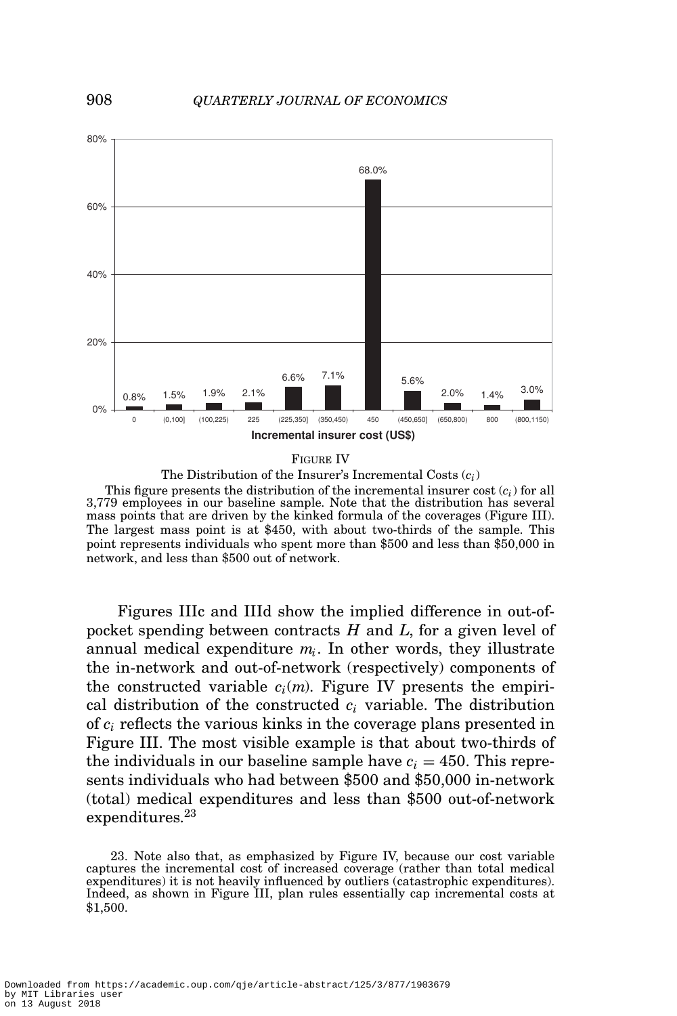

#### FIGURE IV

The Distribution of the Insurer's Incremental Costs (*ci*)

This figure presents the distribution of the incremental insurer cost (*ci*) for all 3,779 employees in our baseline sample. Note that the distribution has several mass points that are driven by the kinked formula of the coverages (Figure III). The largest mass point is at \$450, with about two-thirds of the sample. This point represents individuals who spent more than \$500 and less than \$50,000 in network, and less than \$500 out of network.

Figures IIIc and IIId show the implied difference in out-ofpocket spending between contracts *H* and *L*, for a given level of annual medical expenditure  $m<sub>i</sub>$ . In other words, they illustrate the in-network and out-of-network (respectively) components of the constructed variable  $c_i(m)$ . Figure IV presents the empirical distribution of the constructed *ci* variable. The distribution of *ci* reflects the various kinks in the coverage plans presented in Figure III. The most visible example is that about two-thirds of the individuals in our baseline sample have  $c_i = 450$ . This represents individuals who had between \$500 and \$50,000 in-network (total) medical expenditures and less than \$500 out-of-network expenditures.<sup>23</sup>

<sup>23.</sup> Note also that, as emphasized by Figure IV, because our cost variable captures the incremental cost of increased coverage (rather than total medical expenditures) it is not heavily influenced by outliers (catastrophic expenditures). Indeed, as shown in Figure III, plan rules essentially cap incremental costs at \$1,500.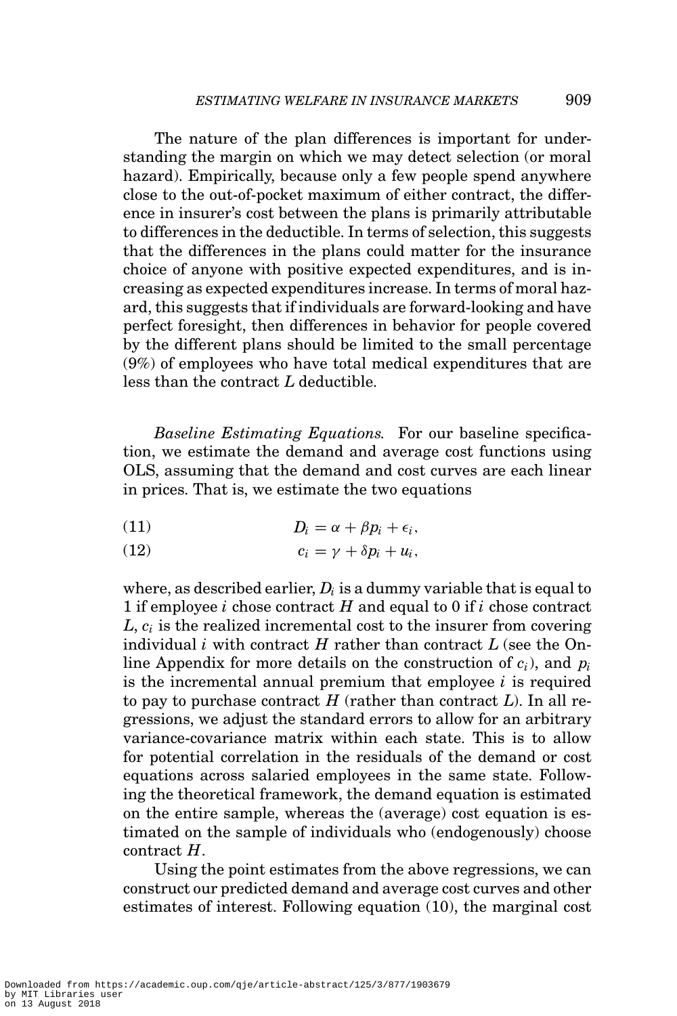The nature of the plan differences is important for understanding the margin on which we may detect selection (or moral hazard). Empirically, because only a few people spend anywhere close to the out-of-pocket maximum of either contract, the difference in insurer's cost between the plans is primarily attributable to differences in the deductible. In terms of selection, this suggests that the differences in the plans could matter for the insurance choice of anyone with positive expected expenditures, and is increasing as expected expenditures increase. In terms of moral hazard, this suggests that if individuals are forward-looking and have perfect foresight, then differences in behavior for people covered by the different plans should be limited to the small percentage (9%) of employees who have total medical expenditures that are less than the contract *L* deductible.

*Baseline Estimating Equations.* For our baseline specification, we estimate the demand and average cost functions using OLS, assuming that the demand and cost curves are each linear in prices. That is, we estimate the two equations

$$
(11) \t\t D_i = \alpha + \beta p_i + \epsilon_i,
$$

$$
(12) \t\t\t c_i = \gamma + \delta p_i + u_i,
$$

where, as described earlier, *Di* is a dummy variable that is equal to 1 if employee *i* chose contract *H* and equal to 0 if *i* chose contract *L*, *ci* is the realized incremental cost to the insurer from covering individual *i* with contract *H* rather than contract *L* (see the Online Appendix for more details on the construction of *ci*), and *pi* is the incremental annual premium that employee *i* is required to pay to purchase contract *H* (rather than contract *L*). In all regressions, we adjust the standard errors to allow for an arbitrary variance-covariance matrix within each state. This is to allow for potential correlation in the residuals of the demand or cost equations across salaried employees in the same state. Following the theoretical framework, the demand equation is estimated on the entire sample, whereas the (average) cost equation is estimated on the sample of individuals who (endogenously) choose contract *H*.

Using the point estimates from the above regressions, we can construct our predicted demand and average cost curves and other estimates of interest. Following equation (10), the marginal cost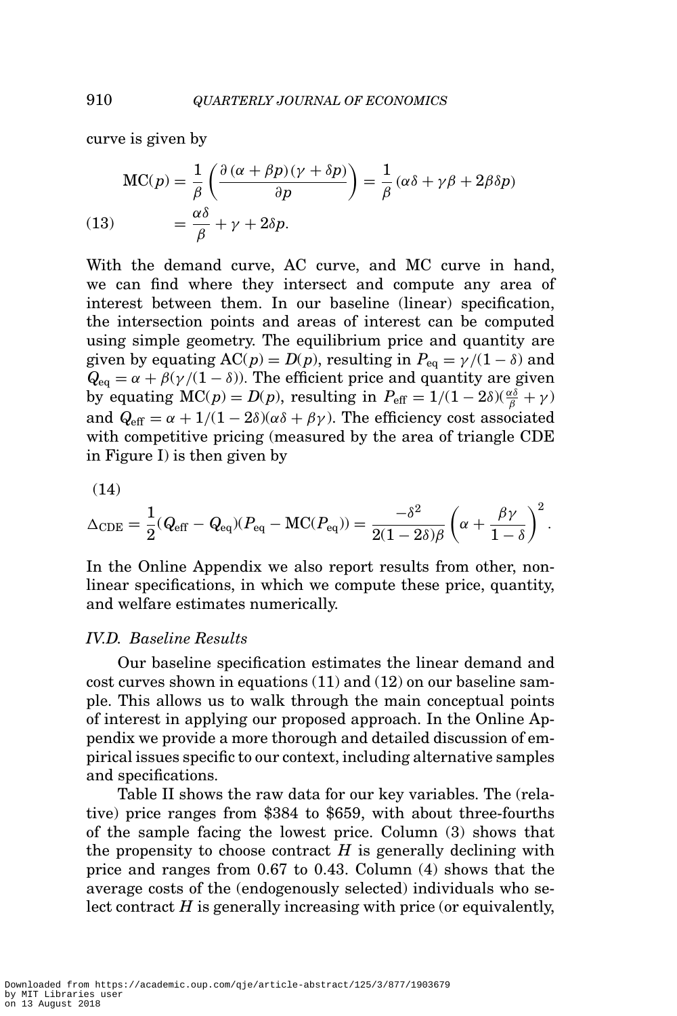curve is given by

$$
\text{MC}(p) = \frac{1}{\beta} \left( \frac{\partial (\alpha + \beta p)(\gamma + \delta p)}{\partial p} \right) = \frac{1}{\beta} (\alpha \delta + \gamma \beta + 2\beta \delta p)
$$
  
(13) 
$$
= \frac{\alpha \delta}{\beta} + \gamma + 2\delta p.
$$

With the demand curve, AC curve, and MC curve in hand, we can find where they intersect and compute any area of interest between them. In our baseline (linear) specification, the intersection points and areas of interest can be computed using simple geometry. The equilibrium price and quantity are given by equating  $AC(p) = D(p)$ , resulting in  $P_{eq} = \gamma/(1-\delta)$  and  $Q_{eq} = \alpha + \beta(\gamma/(1 - \delta))$ . The efficient price and quantity are given by equating  $MC(p) = D(p)$ , resulting in  $P_{\text{eff}} = 1/(1 - 2\delta)(\frac{\alpha\delta}{\beta} + \gamma)$ and  $Q_{\text{eff}} = \alpha + 1/(1 - 2\delta)(\alpha\delta + \beta\gamma)$ . The efficiency cost associated with competitive pricing (measured by the area of triangle CDE in Figure I) is then given by

(14)

$$
\Delta_{\rm CDE} = \frac{1}{2}(Q_{\rm eff} - Q_{\rm eq}) (P_{\rm eq} - \text{MC}(P_{\rm eq})) = \frac{-\delta^2}{2(1-2\delta)\beta} \left(\alpha + \frac{\beta\gamma}{1-\delta}\right)^2.
$$

In the Online Appendix we also report results from other, nonlinear specifications, in which we compute these price, quantity, and welfare estimates numerically.

#### *IV.D. Baseline Results*

Our baseline specification estimates the linear demand and cost curves shown in equations (11) and (12) on our baseline sample. This allows us to walk through the main conceptual points of interest in applying our proposed approach. In the Online Appendix we provide a more thorough and detailed discussion of empirical issues specific to our context, including alternative samples and specifications.

Table II shows the raw data for our key variables. The (relative) price ranges from \$384 to \$659, with about three-fourths of the sample facing the lowest price. Column (3) shows that the propensity to choose contract *H* is generally declining with price and ranges from 0.67 to 0.43. Column (4) shows that the average costs of the (endogenously selected) individuals who select contract *H* is generally increasing with price (or equivalently,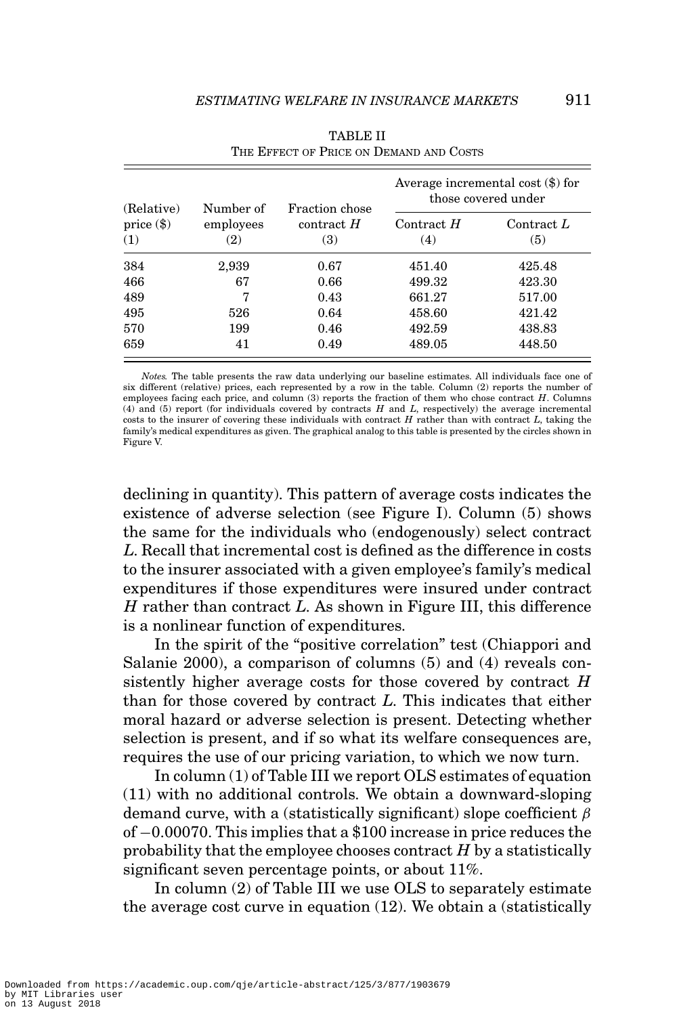| (Relative)<br>price $(\$)$<br>(1) | Number of<br>employees<br>(2) | Fraction chose<br>contract $H$<br>(3) | Average incremental cost $(\$)$ for<br>those covered under |                   |
|-----------------------------------|-------------------------------|---------------------------------------|------------------------------------------------------------|-------------------|
|                                   |                               |                                       | Contract $H$<br>(4)                                        | Contract L<br>(5) |
| 384                               | 2,939                         | 0.67                                  | 451.40                                                     | 425.48            |
| 466                               | 67                            | 0.66                                  | 499.32                                                     | 423.30            |
| 489                               |                               | 0.43                                  | 661.27                                                     | 517.00            |
| 495                               | 526                           | 0.64                                  | 458.60                                                     | 421.42            |
| 570                               | 199                           | 0.46                                  | 492.59                                                     | 438.83            |
| 659                               | 41                            | 0.49                                  | 489.05                                                     | 448.50            |

TABLE II THE EFFECT OF PRICE ON DEMAND AND COSTS

*Notes.* The table presents the raw data underlying our baseline estimates. All individuals face one of six different (relative) prices, each represented by a row in the table. Column (2) reports the number of employees facing each price, and column (3) reports the fraction of them who chose contract *H*. Columns (4) and (5) report (for individuals covered by contracts *H* and *L*, respectively) the average incremental costs to the insurer of covering these individuals with contract *H* rather than with contract *L*, taking the family's medical expenditures as given. The graphical analog to this table is presented by the circles shown in Figure V.

declining in quantity). This pattern of average costs indicates the existence of adverse selection (see Figure I). Column (5) shows the same for the individuals who (endogenously) select contract *L*. Recall that incremental cost is defined as the difference in costs to the insurer associated with a given employee's family's medical expenditures if those expenditures were insured under contract *H* rather than contract *L*. As shown in Figure III, this difference is a nonlinear function of expenditures.

In the spirit of the "positive correlation" test (Chiappori and Salanie 2000), a comparison of columns (5) and (4) reveals consistently higher average costs for those covered by contract *H* than for those covered by contract *L*. This indicates that either moral hazard or adverse selection is present. Detecting whether selection is present, and if so what its welfare consequences are, requires the use of our pricing variation, to which we now turn.

In column (1) of Table III we report OLS estimates of equation (11) with no additional controls. We obtain a downward-sloping demand curve, with a (statistically significant) slope coefficient  $\beta$ of −0.00070. This implies that a \$100 increase in price reduces the probability that the employee chooses contract *H* by a statistically significant seven percentage points, or about 11%.

In column (2) of Table III we use OLS to separately estimate the average cost curve in equation (12). We obtain a (statistically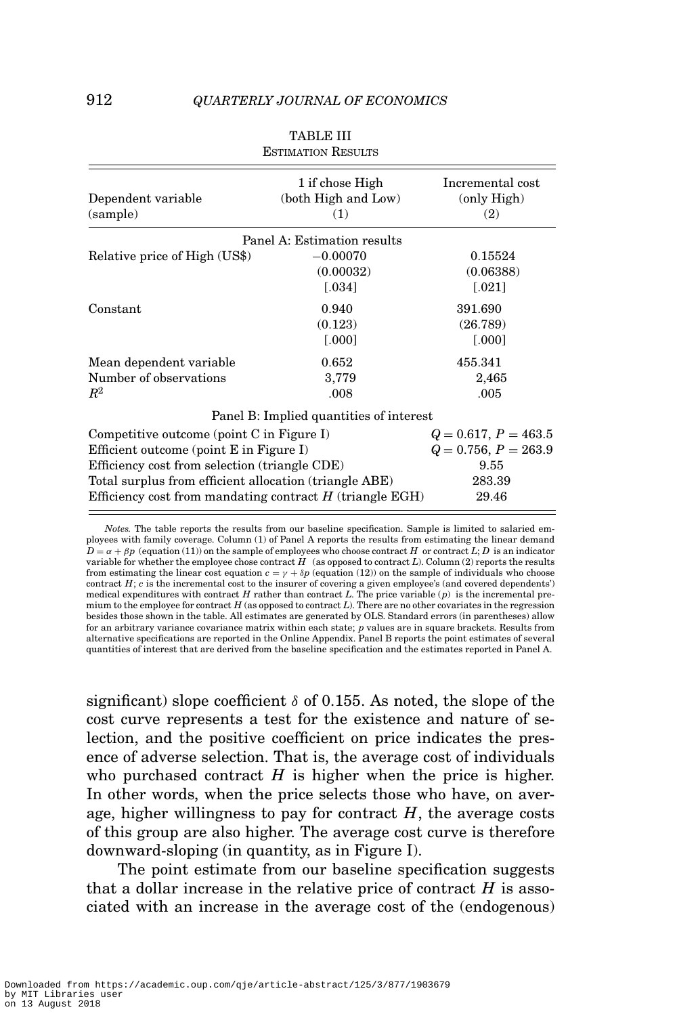| 1 if chose High<br>(both High and Low)<br>(1) | Incremental cost<br>$\text{(only High)}$<br>(2)                                                                                                                                                                                                                                                                                             |
|-----------------------------------------------|---------------------------------------------------------------------------------------------------------------------------------------------------------------------------------------------------------------------------------------------------------------------------------------------------------------------------------------------|
|                                               |                                                                                                                                                                                                                                                                                                                                             |
| $-0.00070$<br>(0.00032)<br>[.034]             | 0.15524<br>(0.06388)<br>[.021]                                                                                                                                                                                                                                                                                                              |
| 0.940<br>(0.123)<br>[.000]                    | 391.690<br>(26.789)<br>[.000]                                                                                                                                                                                                                                                                                                               |
| 0.652                                         | 455.341                                                                                                                                                                                                                                                                                                                                     |
| 3,779<br>.008                                 | 2,465<br>.005                                                                                                                                                                                                                                                                                                                               |
|                                               |                                                                                                                                                                                                                                                                                                                                             |
|                                               | $Q = 0.617, P = 463.5$<br>$Q = 0.756, P = 263.9$<br>9.55<br>283.39<br>29.46                                                                                                                                                                                                                                                                 |
|                                               | Panel A: Estimation results<br>Panel B: Implied quantities of interest<br>Competitive outcome (point $C$ in Figure I)<br>Efficient outcome (point $E$ in Figure I)<br>Efficiency cost from selection (triangle CDE)<br>Total surplus from efficient allocation (triangle ABE)<br>Efficiency cost from mandating contract $H$ (triangle EGH) |

TABLE III ESTIMATION RESULTS

*Notes.* The table reports the results from our baseline specification. Sample is limited to salaried employees with family coverage. Column (1) of Panel A reports the results from estimating the linear demand  $D = \alpha + \beta p$  (equation (11)) on the sample of employees who choose contract *H* or contract *L*; *D* is an indicator variable for whether the employee chose contract  $H$  (as opposed to contract  $L$ ). Column (2) reports the results from estimating the linear cost equation  $c = \gamma + \delta p$  (equation (12)) on the sample of individuals who choose contract  $H$ ; c is the incremental cost to the insurer of covering a given employee's (and covered dependents')<br>medical expenditures with contract  $H$  rather than contract  $L$ . The price variable (p) is the incremental pr mium to the employee for contract  $H$  (as opposed to contract  $L$ ). There are no other covariates in the regression besides those shown in the table. All estimates are generated by OLS. Standard errors (in parentheses) allow for an arbitrary variance covariance matrix within each state; *p* values are in square brackets. Results from alternative specifications are reported in the Online Appendix. Panel B reports the point estimates of several quantities of interest that are derived from the baseline specification and the estimates reported in Panel A.

significant) slope coefficient  $\delta$  of 0.155. As noted, the slope of the cost curve represents a test for the existence and nature of selection, and the positive coefficient on price indicates the presence of adverse selection. That is, the average cost of individuals who purchased contract *H* is higher when the price is higher. In other words, when the price selects those who have, on average, higher willingness to pay for contract *H*, the average costs of this group are also higher. The average cost curve is therefore downward-sloping (in quantity, as in Figure I).

The point estimate from our baseline specification suggests that a dollar increase in the relative price of contract *H* is associated with an increase in the average cost of the (endogenous)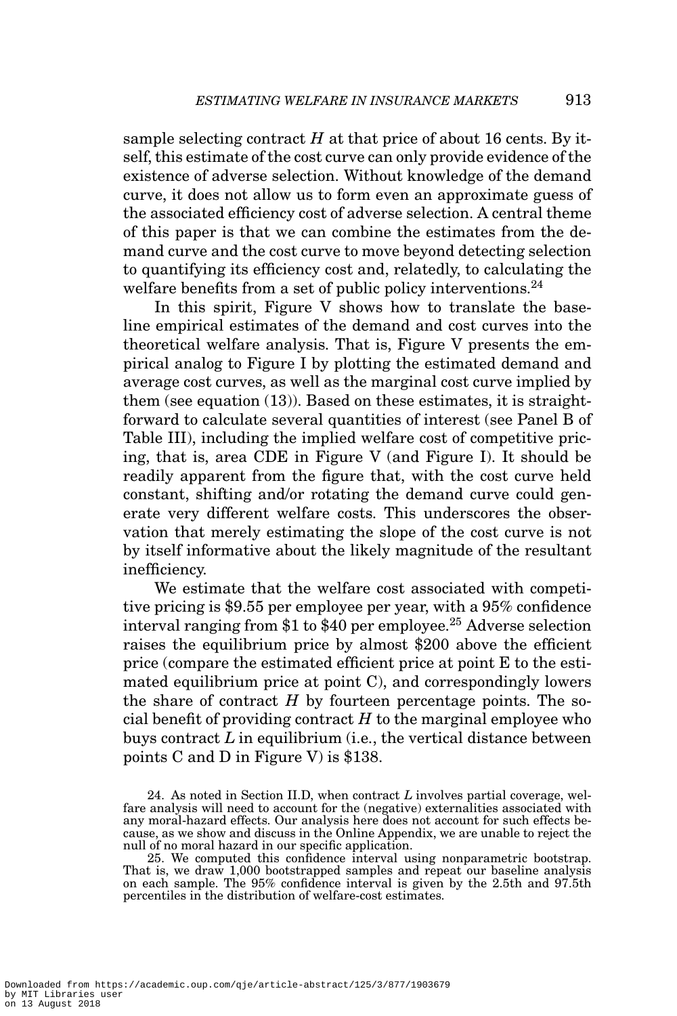sample selecting contract *H* at that price of about 16 cents. By itself, this estimate of the cost curve can only provide evidence of the existence of adverse selection. Without knowledge of the demand curve, it does not allow us to form even an approximate guess of the associated efficiency cost of adverse selection. A central theme of this paper is that we can combine the estimates from the demand curve and the cost curve to move beyond detecting selection to quantifying its efficiency cost and, relatedly, to calculating the welfare benefits from a set of public policy interventions.<sup>24</sup>

In this spirit, Figure V shows how to translate the baseline empirical estimates of the demand and cost curves into the theoretical welfare analysis. That is, Figure V presents the empirical analog to Figure I by plotting the estimated demand and average cost curves, as well as the marginal cost curve implied by them (see equation (13)). Based on these estimates, it is straightforward to calculate several quantities of interest (see Panel B of Table III), including the implied welfare cost of competitive pricing, that is, area CDE in Figure V (and Figure I). It should be readily apparent from the figure that, with the cost curve held constant, shifting and/or rotating the demand curve could generate very different welfare costs. This underscores the observation that merely estimating the slope of the cost curve is not by itself informative about the likely magnitude of the resultant inefficiency.

We estimate that the welfare cost associated with competitive pricing is \$9.55 per employee per year, with a 95% confidence interval ranging from \$1 to \$40 per employee.25 Adverse selection raises the equilibrium price by almost \$200 above the efficient price (compare the estimated efficient price at point E to the estimated equilibrium price at point C), and correspondingly lowers the share of contract *H* by fourteen percentage points. The social benefit of providing contract *H* to the marginal employee who buys contract *L* in equilibrium (i.e., the vertical distance between points C and D in Figure V) is \$138.

<sup>24.</sup> As noted in Section II.D, when contract *L* involves partial coverage, welfare analysis will need to account for the (negative) externalities associated with any moral-hazard effects. Our analysis here does not account for such effects because, as we show and discuss in the Online Appendix, we are unable to reject the null of no moral hazard in our specific application.

<sup>25.</sup> We computed this confidence interval using nonparametric bootstrap. That is, we draw 1,000 bootstrapped samples and repeat our baseline analysis on each sample. The 95% confidence interval is given by the 2.5th and 97.5th percentiles in the distribution of welfare-cost estimates.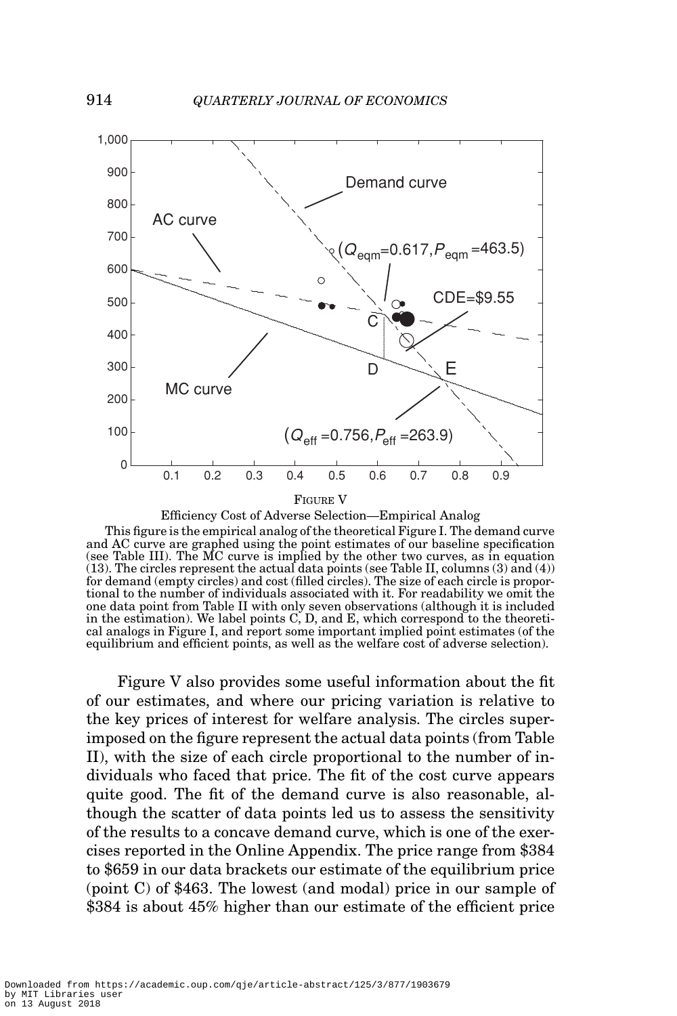

#### Efficiency Cost of Adverse Selection—Empirical Analog

This figure is the empirical analog of the theoretical Figure I. The demand curve and AC curve are graphed using the point estimates of our baseline specification (see Table III). The MC curve is implied by the other two curves, as in equation (13). The circles represent the actual data points (see Table II, columns (3) and (4)) for demand (empty circles) and cost (filled circles). The size of each circle is proportional to the number of individuals associated with it. For readability we omit the one data point from Table II with only seven observations (although it is included in the estimation). We label points C, D, and E, which correspond to the theoretical analogs in Figure I, and report some important implied point estimates (of the equilibrium and efficient points, as well as the welfare cost of adverse selection).

Figure V also provides some useful information about the fit of our estimates, and where our pricing variation is relative to the key prices of interest for welfare analysis. The circles superimposed on the figure represent the actual data points (from Table II), with the size of each circle proportional to the number of individuals who faced that price. The fit of the cost curve appears quite good. The fit of the demand curve is also reasonable, although the scatter of data points led us to assess the sensitivity of the results to a concave demand curve, which is one of the exercises reported in the Online Appendix. The price range from \$384 to \$659 in our data brackets our estimate of the equilibrium price (point C) of \$463. The lowest (and modal) price in our sample of \$384 is about 45% higher than our estimate of the efficient price

Downloaded from https://academic.oup.com/qje/article-abstract/125/3/877/1903679 by MIT Libraries user on 13 August 2018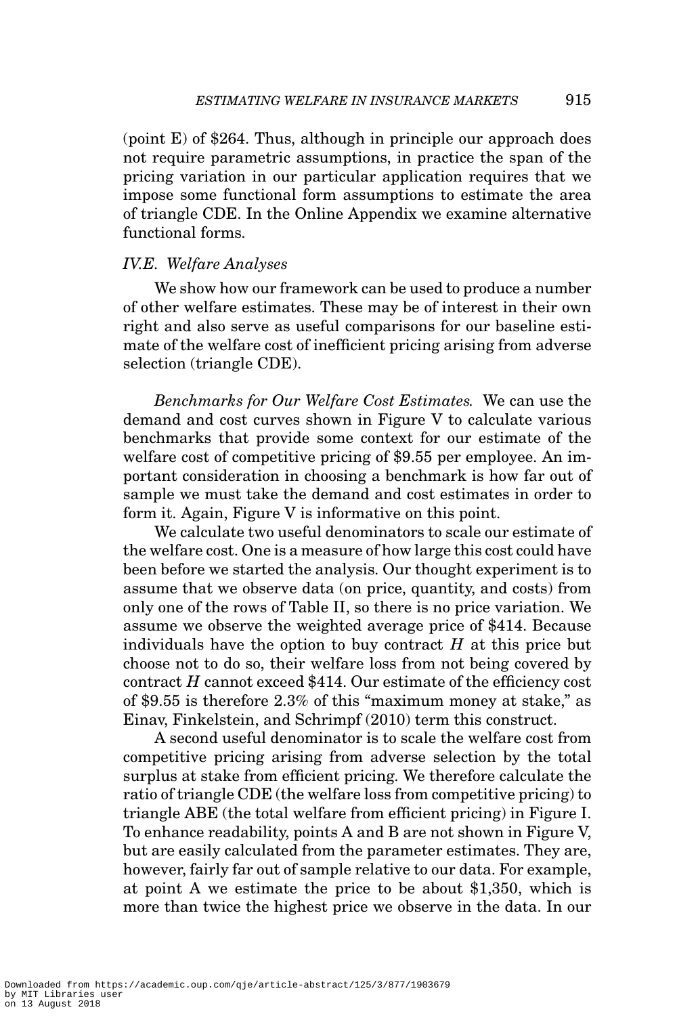(point E) of \$264. Thus, although in principle our approach does not require parametric assumptions, in practice the span of the pricing variation in our particular application requires that we impose some functional form assumptions to estimate the area of triangle CDE. In the Online Appendix we examine alternative functional forms.

#### *IV.E. Welfare Analyses*

We show how our framework can be used to produce a number of other welfare estimates. These may be of interest in their own right and also serve as useful comparisons for our baseline estimate of the welfare cost of inefficient pricing arising from adverse selection (triangle CDE).

*Benchmarks for Our Welfare Cost Estimates.* We can use the demand and cost curves shown in Figure V to calculate various benchmarks that provide some context for our estimate of the welfare cost of competitive pricing of \$9.55 per employee. An important consideration in choosing a benchmark is how far out of sample we must take the demand and cost estimates in order to form it. Again, Figure V is informative on this point.

We calculate two useful denominators to scale our estimate of the welfare cost. One is a measure of how large this cost could have been before we started the analysis. Our thought experiment is to assume that we observe data (on price, quantity, and costs) from only one of the rows of Table II, so there is no price variation. We assume we observe the weighted average price of \$414. Because individuals have the option to buy contract *H* at this price but choose not to do so, their welfare loss from not being covered by contract *H* cannot exceed \$414. Our estimate of the efficiency cost of \$9.55 is therefore 2.3% of this "maximum money at stake," as Einav, Finkelstein, and Schrimpf (2010) term this construct.

A second useful denominator is to scale the welfare cost from competitive pricing arising from adverse selection by the total surplus at stake from efficient pricing. We therefore calculate the ratio of triangle CDE (the welfare loss from competitive pricing) to triangle ABE (the total welfare from efficient pricing) in Figure I. To enhance readability, points A and B are not shown in Figure V, but are easily calculated from the parameter estimates. They are, however, fairly far out of sample relative to our data. For example, at point A we estimate the price to be about \$1,350, which is more than twice the highest price we observe in the data. In our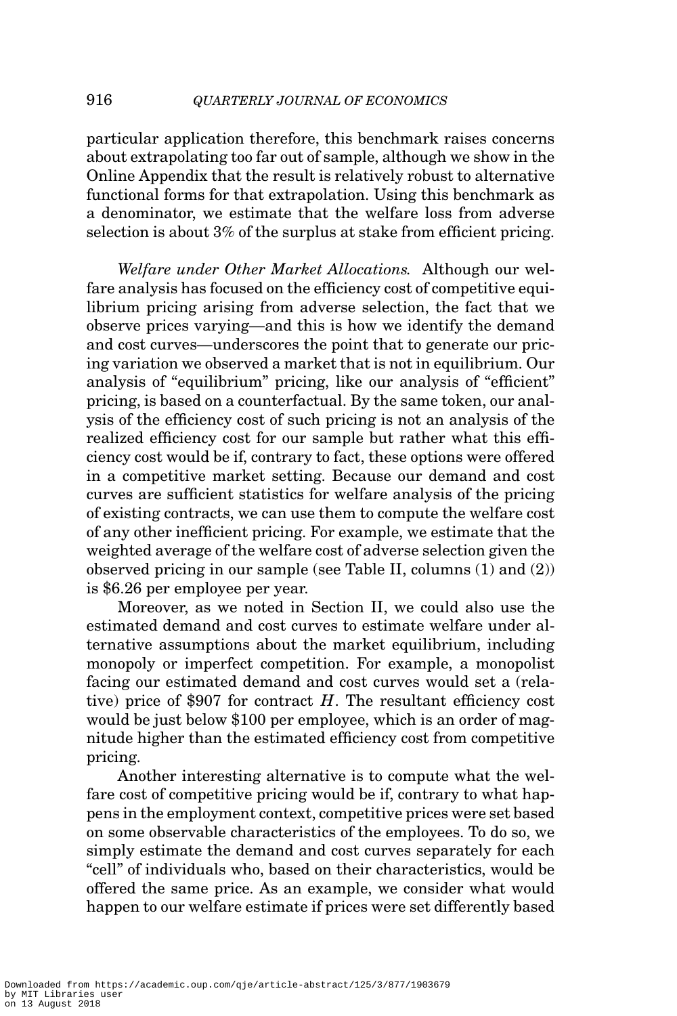particular application therefore, this benchmark raises concerns about extrapolating too far out of sample, although we show in the Online Appendix that the result is relatively robust to alternative functional forms for that extrapolation. Using this benchmark as a denominator, we estimate that the welfare loss from adverse selection is about 3% of the surplus at stake from efficient pricing.

*Welfare under Other Market Allocations.* Although our welfare analysis has focused on the efficiency cost of competitive equilibrium pricing arising from adverse selection, the fact that we observe prices varying—and this is how we identify the demand and cost curves—underscores the point that to generate our pricing variation we observed a market that is not in equilibrium. Our analysis of "equilibrium" pricing, like our analysis of "efficient" pricing, is based on a counterfactual. By the same token, our analysis of the efficiency cost of such pricing is not an analysis of the realized efficiency cost for our sample but rather what this efficiency cost would be if, contrary to fact, these options were offered in a competitive market setting. Because our demand and cost curves are sufficient statistics for welfare analysis of the pricing of existing contracts, we can use them to compute the welfare cost of any other inefficient pricing. For example, we estimate that the weighted average of the welfare cost of adverse selection given the observed pricing in our sample (see Table II, columns (1) and (2)) is \$6.26 per employee per year.

Moreover, as we noted in Section II, we could also use the estimated demand and cost curves to estimate welfare under alternative assumptions about the market equilibrium, including monopoly or imperfect competition. For example, a monopolist facing our estimated demand and cost curves would set a (relative) price of \$907 for contract *H*. The resultant efficiency cost would be just below \$100 per employee, which is an order of magnitude higher than the estimated efficiency cost from competitive pricing.

Another interesting alternative is to compute what the welfare cost of competitive pricing would be if, contrary to what happens in the employment context, competitive prices were set based on some observable characteristics of the employees. To do so, we simply estimate the demand and cost curves separately for each "cell" of individuals who, based on their characteristics, would be offered the same price. As an example, we consider what would happen to our welfare estimate if prices were set differently based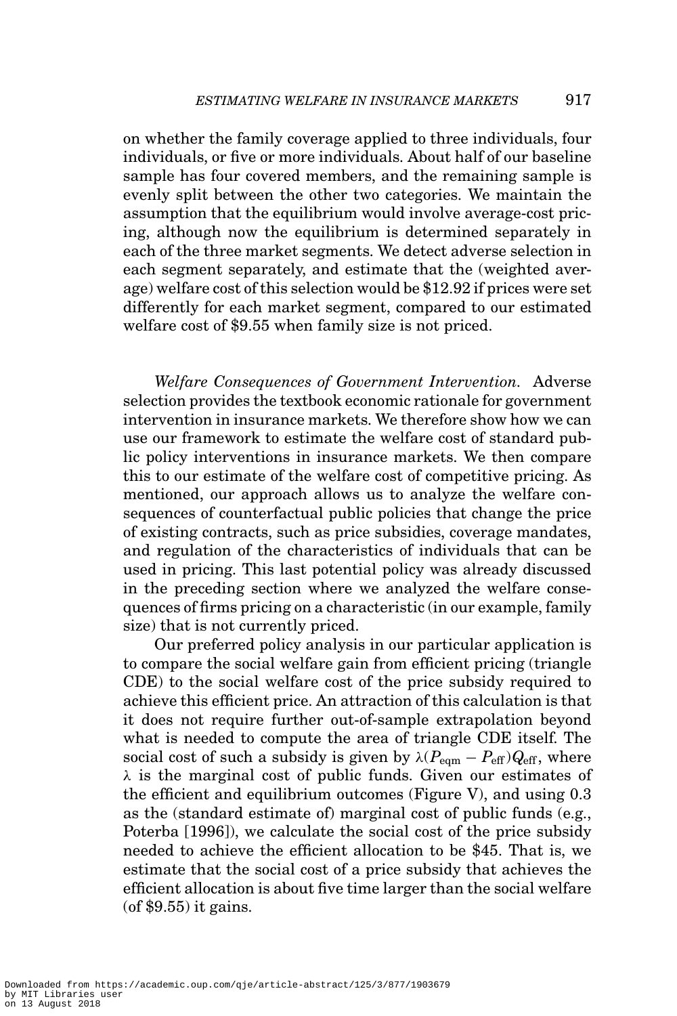on whether the family coverage applied to three individuals, four individuals, or five or more individuals. About half of our baseline sample has four covered members, and the remaining sample is evenly split between the other two categories. We maintain the assumption that the equilibrium would involve average-cost pricing, although now the equilibrium is determined separately in each of the three market segments. We detect adverse selection in each segment separately, and estimate that the (weighted average) welfare cost of this selection would be \$12.92 if prices were set differently for each market segment, compared to our estimated welfare cost of \$9.55 when family size is not priced.

*Welfare Consequences of Government Intervention.* Adverse selection provides the textbook economic rationale for government intervention in insurance markets. We therefore show how we can use our framework to estimate the welfare cost of standard public policy interventions in insurance markets. We then compare this to our estimate of the welfare cost of competitive pricing. As mentioned, our approach allows us to analyze the welfare consequences of counterfactual public policies that change the price of existing contracts, such as price subsidies, coverage mandates, and regulation of the characteristics of individuals that can be used in pricing. This last potential policy was already discussed in the preceding section where we analyzed the welfare consequences of firms pricing on a characteristic (in our example, family size) that is not currently priced.

Our preferred policy analysis in our particular application is to compare the social welfare gain from efficient pricing (triangle CDE) to the social welfare cost of the price subsidy required to achieve this efficient price. An attraction of this calculation is that it does not require further out-of-sample extrapolation beyond what is needed to compute the area of triangle CDE itself. The social cost of such a subsidy is given by  $\lambda(P_{\text{eqm}} - P_{\text{eff}})Q_{\text{eff}}$ , where  $\lambda$  is the marginal cost of public funds. Given our estimates of the efficient and equilibrium outcomes (Figure V), and using 0.3 as the (standard estimate of) marginal cost of public funds (e.g., Poterba [1996]), we calculate the social cost of the price subsidy needed to achieve the efficient allocation to be \$45. That is, we estimate that the social cost of a price subsidy that achieves the efficient allocation is about five time larger than the social welfare (of \$9.55) it gains.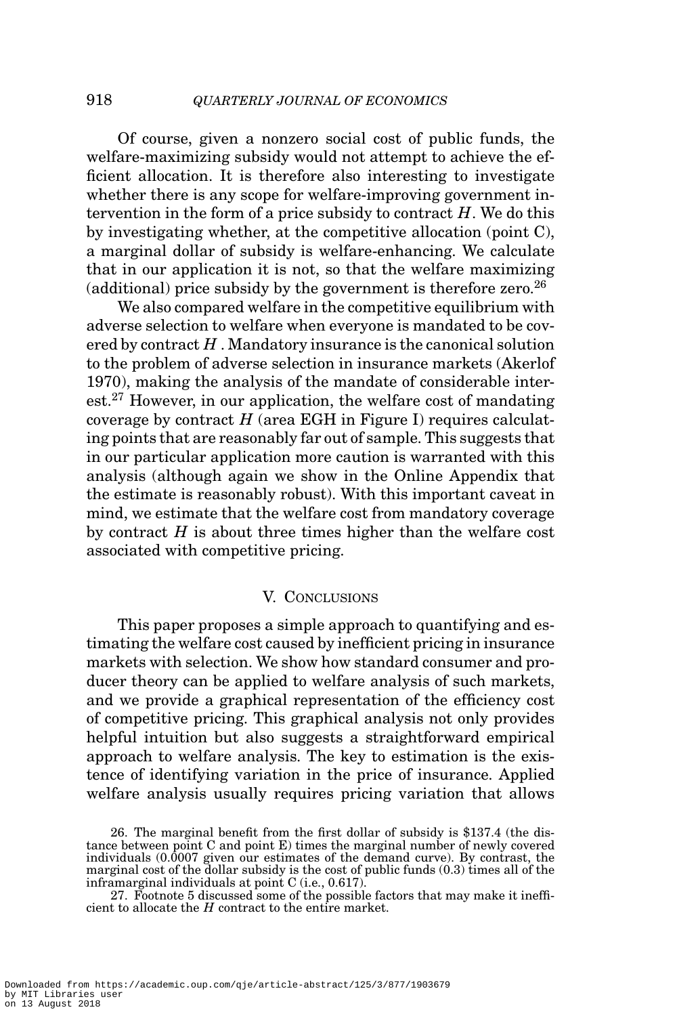Of course, given a nonzero social cost of public funds, the welfare-maximizing subsidy would not attempt to achieve the efficient allocation. It is therefore also interesting to investigate whether there is any scope for welfare-improving government intervention in the form of a price subsidy to contract *H*. We do this by investigating whether, at the competitive allocation (point C), a marginal dollar of subsidy is welfare-enhancing. We calculate that in our application it is not, so that the welfare maximizing (additional) price subsidy by the government is therefore zero.<sup>26</sup>

We also compared welfare in the competitive equilibrium with adverse selection to welfare when everyone is mandated to be covered by contract *H* . Mandatory insurance is the canonical solution to the problem of adverse selection in insurance markets (Akerlof 1970), making the analysis of the mandate of considerable interest.27 However, in our application, the welfare cost of mandating coverage by contract  $H$  (area EGH in Figure I) requires calculating points that are reasonably far out of sample. This suggests that in our particular application more caution is warranted with this analysis (although again we show in the Online Appendix that the estimate is reasonably robust). With this important caveat in mind, we estimate that the welfare cost from mandatory coverage by contract *H* is about three times higher than the welfare cost associated with competitive pricing.

#### V. CONCLUSIONS

This paper proposes a simple approach to quantifying and estimating the welfare cost caused by inefficient pricing in insurance markets with selection. We show how standard consumer and producer theory can be applied to welfare analysis of such markets, and we provide a graphical representation of the efficiency cost of competitive pricing. This graphical analysis not only provides helpful intuition but also suggests a straightforward empirical approach to welfare analysis. The key to estimation is the existence of identifying variation in the price of insurance. Applied welfare analysis usually requires pricing variation that allows

<sup>26.</sup> The marginal benefit from the first dollar of subsidy is \$137.4 (the dis-tance between point C and point E) times the marginal number of newly covered individuals (0.0007 given our estimates of the demand curve). By contrast, the marginal cost of the dollar subsidy is the cost of public funds (0.3) times all of the inframarginal individuals at point C (i.e., 0.617).

<sup>27.</sup> Footnote 5 discussed some of the possible factors that may make it inefficient to allocate the *H* contract to the entire market.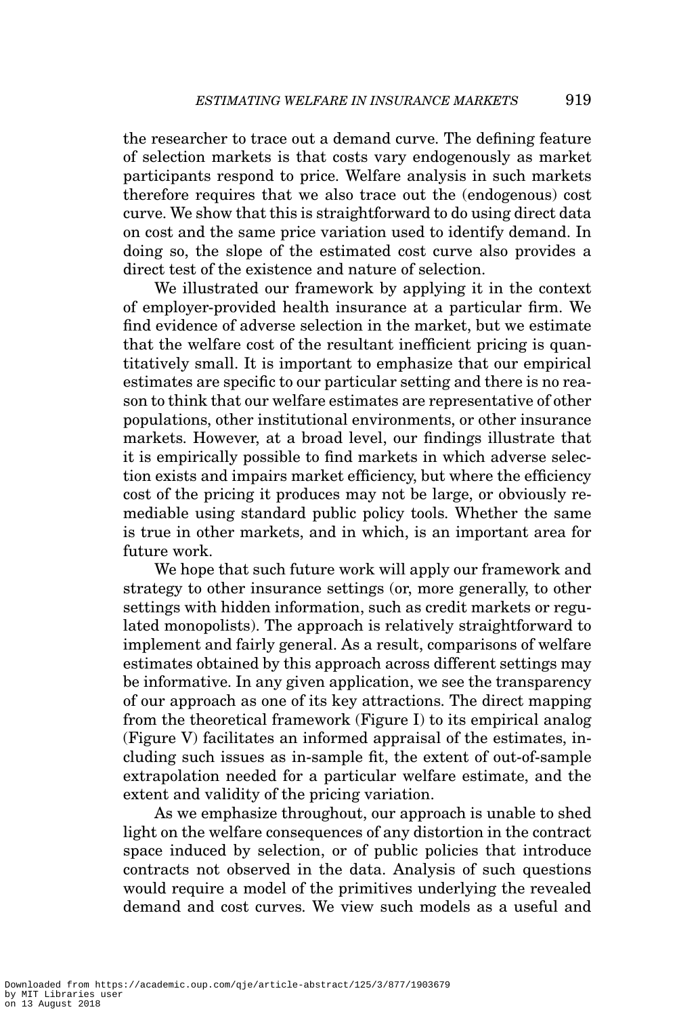the researcher to trace out a demand curve. The defining feature of selection markets is that costs vary endogenously as market participants respond to price. Welfare analysis in such markets therefore requires that we also trace out the (endogenous) cost curve. We show that this is straightforward to do using direct data on cost and the same price variation used to identify demand. In doing so, the slope of the estimated cost curve also provides a direct test of the existence and nature of selection.

We illustrated our framework by applying it in the context of employer-provided health insurance at a particular firm. We find evidence of adverse selection in the market, but we estimate that the welfare cost of the resultant inefficient pricing is quantitatively small. It is important to emphasize that our empirical estimates are specific to our particular setting and there is no reason to think that our welfare estimates are representative of other populations, other institutional environments, or other insurance markets. However, at a broad level, our findings illustrate that it is empirically possible to find markets in which adverse selection exists and impairs market efficiency, but where the efficiency cost of the pricing it produces may not be large, or obviously remediable using standard public policy tools. Whether the same is true in other markets, and in which, is an important area for future work.

We hope that such future work will apply our framework and strategy to other insurance settings (or, more generally, to other settings with hidden information, such as credit markets or regulated monopolists). The approach is relatively straightforward to implement and fairly general. As a result, comparisons of welfare estimates obtained by this approach across different settings may be informative. In any given application, we see the transparency of our approach as one of its key attractions. The direct mapping from the theoretical framework (Figure I) to its empirical analog (Figure V) facilitates an informed appraisal of the estimates, including such issues as in-sample fit, the extent of out-of-sample extrapolation needed for a particular welfare estimate, and the extent and validity of the pricing variation.

As we emphasize throughout, our approach is unable to shed light on the welfare consequences of any distortion in the contract space induced by selection, or of public policies that introduce contracts not observed in the data. Analysis of such questions would require a model of the primitives underlying the revealed demand and cost curves. We view such models as a useful and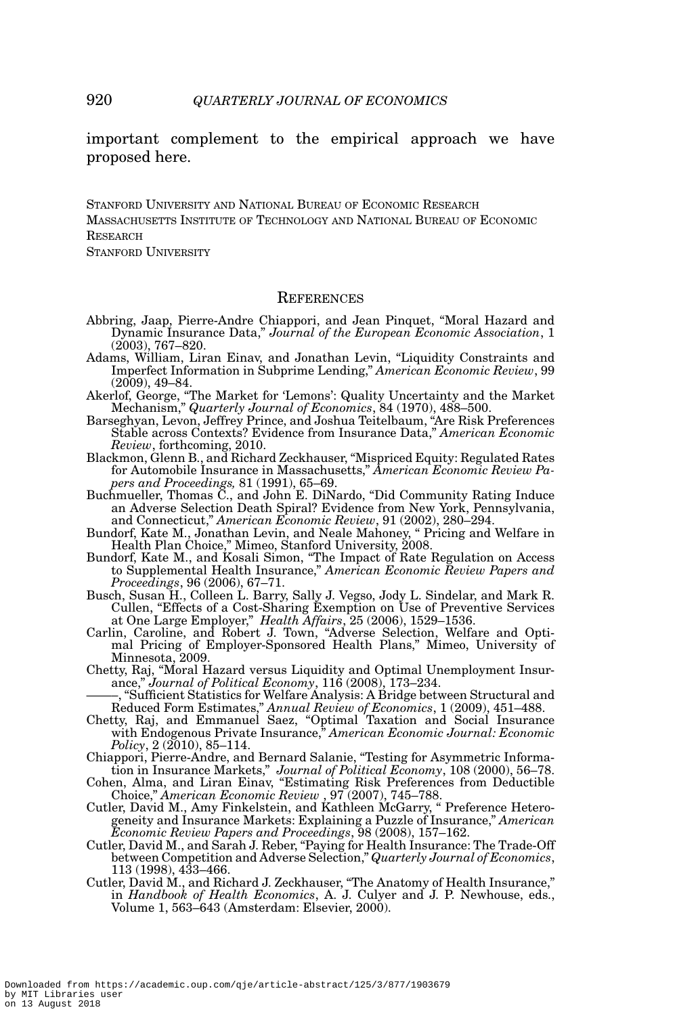important complement to the empirical approach we have proposed here.

STANFORD UNIVERSITY AND NATIONAL BUREAU OF ECONOMIC RESEARCH MASSACHUSETTS INSTITUTE OF TECHNOLOGY AND NATIONAL BUREAU OF ECONOMIC **RESEARCH** 

STANFORD UNIVERSITY

#### **REFERENCES**

- Abbring, Jaap, Pierre-Andre Chiappori, and Jean Pinquet, "Moral Hazard and Dynamic Insurance Data," *Journal of the European Economic Association*, 1 (2003), 767–820.
- Adams, William, Liran Einav, and Jonathan Levin, "Liquidity Constraints and Imperfect Information in Subprime Lending," *American Economic Review*, 99 (2009), 49–84.
- Akerlof, George, "The Market for 'Lemons': Quality Uncertainty and the Market Mechanism," *Quarterly Journal of Economics*, 84 (1970), 488–500.
- Barseghyan, Levon, Jeffrey Prince, and Joshua Teitelbaum, "Are Risk Preferences Stable across Contexts? Evidence from Insurance Data," *American Economic Review*, forthcoming, 2010.
- Blackmon, Glenn B., and Richard Zeckhauser, "Mispriced Equity: Regulated Rates for Automobile Insurance in Massachusetts," *American Economic Review Pa-pers and Proceedings,* 81 (1991), 65–69.
- Buchmueller, Thomas C., and John E. DiNardo, "Did Community Rating Induce an Adverse Selection Death Spiral? Evidence from New York, Pennsylvania, and Connecticut," *American Economic Review*, 91 (2002), 280–294.
- Bundorf, Kate M., Jonathan Levin, and Neale Mahoney, " Pricing and Welfare in Health Plan Choice," Mimeo, Stanford University, 2008.
- Bundorf, Kate M., and Kosali Simon, "The Impact of Rate Regulation on Access to Supplemental Health Insurance," *American Economic Review Papers and Proceedings*, 96 (2006), 67–71.
- Busch, Susan H., Colleen L. Barry, Sally J. Vegso, Jody L. Sindelar, and Mark R. Cullen, "Effects of a Cost-Sharing Exemption on Use of Preventive Services
- at One Large Employer," *Health Affairs*, 25 (2006), 1529–1536. Carlin, Caroline, and Robert J. Town, "Adverse Selection, Welfare and Opti-mal Pricing of Employer-Sponsored Health Plans," Mimeo, University of Minnesota, 2009.
- Chetty, Raj, "Moral Hazard versus Liquidity and Optimal Unemployment Insur-ance," *Journal of Political Economy*, 116 (2008), 173–234.

——–, "Sufficient Statistics for Welfare Analysis: A Bridge between Structural and Reduced Form Estimates," *Annual Review of Economics*, 1 (2009), 451–488.

Chetty, Raj, and Emmanuel Saez, "Optimal Taxation and Social Insurance with Endogenous Private Insurance," *American Economic Journal: Economic Policy*, 2 (2010), 85–114.

- Chiappori, Pierre-Andre, and Bernard Salanie, "Testing for Asymmetric Information in Insurance Markets," Journal of Political Economy, 108 (2000), 56–78.<br>Cohen, Alma, and Liran Einay, "Estimating Risk Preferences from Dedu
- geneity and Insurance Markets: Explaining a Puzzle of Insurance," *American*
- *Economic Review Papers and Proceedings*, 98 (2008), 157–162. Cutler, David M., and Sarah J. Reber, "Paying for Health Insurance: The Trade-Off between Competition and Adverse Selection," *Quarterly Journal of Economics*, 113 (1998), 433–466.
- Cutler, David M., and Richard J. Zeckhauser, "The Anatomy of Health Insurance," in *Handbook of Health Economics*, A. J. Culyer and J. P. Newhouse, eds., Volume 1, 563–643 (Amsterdam: Elsevier, 2000).

Downloaded from https://academic.oup.com/qje/article-abstract/125/3/877/1903679 by MIT Libraries user on 13 August 2018